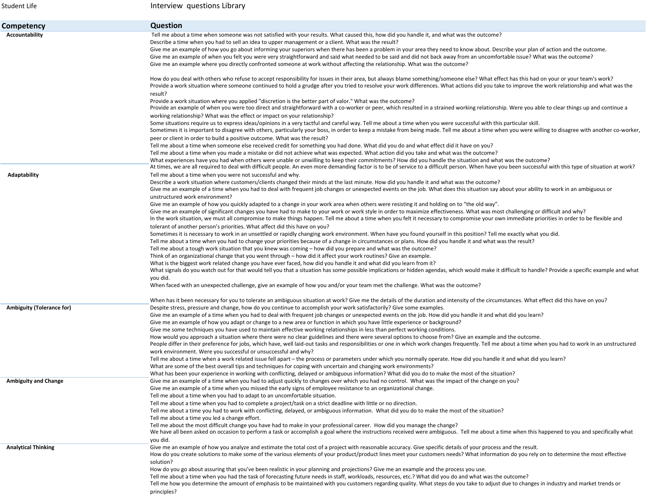| Student Life                     | Interview questions Library                                                                                                                                                                                                                                                                                                                                                                                                                                                                                                                                      |
|----------------------------------|------------------------------------------------------------------------------------------------------------------------------------------------------------------------------------------------------------------------------------------------------------------------------------------------------------------------------------------------------------------------------------------------------------------------------------------------------------------------------------------------------------------------------------------------------------------|
| Competency                       | <b>Question</b>                                                                                                                                                                                                                                                                                                                                                                                                                                                                                                                                                  |
| Accountability                   | Tell me about a time when someone was not satisfied with your results. What caused this, how did you handle it, and what was the outcome?<br>Describe a time when you had to sell an idea to upper management or a client. What was the result?                                                                                                                                                                                                                                                                                                                  |
|                                  | Give me an example of how you go about informing your superiors when there has been a problem in your area they need to know about. Describe your plan of action and the outcome.<br>Give me an example of when you felt you were very straightforward and said what needed to be said and did not back away from an uncomfortable issue? What was the outcome?<br>Give me an example where you directly confronted someone at work without affecting the relationship. What was the outcome?                                                                    |
|                                  | How do you deal with others who refuse to accept responsibility for issues in their area, but always blame something/someone else? What effect has this had on your or your team's work?<br>Provide a work situation where someone continued to hold a grudge after you tried to resolve your work differences. What actions did you take to improve the work relationship and what was the<br>result?                                                                                                                                                           |
|                                  | Provide a work situation where you applied "discretion is the better part of valor." What was the outcome?<br>Provide an example of when you were too direct and straightforward with a co-worker or peer, which resulted in a strained working relationship. Were you able to clear things up and continue a<br>working relationship? What was the effect or impact on your relationship?                                                                                                                                                                       |
|                                  | Some situations require us to express ideas/opinions in a very tactful and careful way. Tell me about a time when you were successful with this particular skill.<br>Sometimes it is important to disagree with others, particularly your boss, in order to keep a mistake from being made. Tell me about a time when you were willing to disagree with another co-worker,                                                                                                                                                                                       |
|                                  | peer or client in order to build a positive outcome. What was the result?<br>Tell me about a time when someone else received credit for something you had done. What did you do and what effect did it have on you?<br>Tell me about a time when you made a mistake or did not achieve what was expected. What action did you take and what was the outcome?                                                                                                                                                                                                     |
| Adaptability                     | What experiences have you had when others were unable or unwilling to keep their commitments? How did you handle the situation and what was the outcome?<br>At times, we are all required to deal with difficult people. An even more demanding factor is to be of service to a difficult person. When have you been successful with this type of situation at work?<br>Tell me about a time when you were not successful and why.                                                                                                                               |
|                                  | Describe a work situation where customers/clients changed their minds at the last minute. How did you handle it and what was the outcome?<br>Give me an example of a time when you had to deal with frequent job changes or unexpected events on the job. What does this situation say about your ability to work in an ambiguous or<br>unstructured work environment?                                                                                                                                                                                           |
|                                  | Give me an example of how you quickly adapted to a change in your work area when others were resisting it and holding on to "the old way".<br>Give me an example of significant changes you have had to make to your work or work style in order to maximize effectiveness. What was most challenging or difficult and why?<br>In the work situation, we must all compromise to make things happen. Tell me about a time when you felt it necessary to compromise your own immediate priorities in order to be flexible and                                      |
|                                  | tolerant of another person's priorities. What affect did this have on you?<br>Sometimes it is necessary to work in an unsettled or rapidly changing work environment. When have you found yourself in this position? Tell me exactly what you did.<br>Tell me about a time when you had to change your priorities because of a change in circumstances or plans. How did you handle it and what was the result?                                                                                                                                                  |
|                                  | Tell me about a tough work situation that you knew was coming – how did you prepare and what was the outcome?<br>Think of an organizational change that you went through – how did it affect your work routines? Give an example.<br>What is the biggest work related change you have ever faced, how did you handle it and what did you learn from it?<br>What signals do you watch out for that would tell you that a situation has some possible implications or hidden agendas, which would make it difficult to handle? Provide a specific example and what |
|                                  | you did.<br>When faced with an unexpected challenge, give an example of how you and/or your team met the challenge. What was the outcome?                                                                                                                                                                                                                                                                                                                                                                                                                        |
| <b>Ambiguity (Tolerance for)</b> | When has it been necessary for you to tolerate an ambiguous situation at work? Give me the details of the duration and intensity of the circumstances. What effect did this have on you?<br>Despite stress, pressure and change, how do you continue to accomplish your work satisfactorily? Give some examples.                                                                                                                                                                                                                                                 |
|                                  | Give me an example of a time when you had to deal with frequent job changes or unexpected events on the job. How did you handle it and what did you learn?<br>Give me an example of how you adapt or change to a new area or function in which you have little experience or background?                                                                                                                                                                                                                                                                         |
|                                  | Give me some techniques you have used to maintain effective working relationships in less than perfect working conditions.<br>How would you approach a situation where there were no clear guidelines and there were several options to choose from? Give an example and the outcome.<br>People differ in their preference for jobs, which have, well laid-out tasks and responsibilities or one in which work changes frequently. Tell me about a time when you had to work in an unstructured                                                                  |
|                                  | work environment. Were you successful or unsuccessful and why?<br>Tell me about a time when a work related issue fell apart – the process or parameters under which you normally operate. How did you handle it and what did you learn?<br>What are some of the best overall tips and techniques for coping with uncertain and changing work environments?                                                                                                                                                                                                       |
|                                  | What has been your experience in working with conflicting, delayed or ambiguous information? What did you do to make the most of the situation?                                                                                                                                                                                                                                                                                                                                                                                                                  |
| <b>Ambiguity and Change</b>      | Give me an example of a time when you had to adjust quickly to changes over which you had no control. What was the impact of the change on you?<br>Give me an example of a time when you missed the early signs of employee resistance to an organizational change.<br>Tell me about a time when you had to adapt to an uncomfortable situation.                                                                                                                                                                                                                 |
|                                  | Tell me about a time when you had to complete a project/task on a strict deadline with little or no direction.<br>Tell me about a time you had to work with conflicting, delayed, or ambiguous information. What did you do to make the most of the situation?<br>Tell me about a time you led a change effort.                                                                                                                                                                                                                                                  |
|                                  | Tell me about the most difficult change you have had to make in your professional career. How did you manage the change?<br>We have all been asked on occasion to perform a task or accomplish a goal where the instructions received were ambiguous. Tell me about a time when this happened to you and specifically what<br>you did.                                                                                                                                                                                                                           |
| <b>Analytical Thinking</b>       | Give me an example of how you analyze and estimate the total cost of a project with reasonable accuracy. Give specific details of your process and the result.<br>How do you create solutions to make some of the various elements of your product/product lines meet your customers needs? What information do you rely on to determine the most effective<br>solution?                                                                                                                                                                                         |
|                                  | How do you go about assuring that you've been realistic in your planning and projections? Give me an example and the process you use.<br>Tell me about a time when you had the task of forecasting future needs in staff, workloads, resources, etc.? What did you do and what was the outcome?<br>Tell me how you determine the amount of emphasis to be maintained with you customers regarding quality. What steps do you take to adjust due to changes in industry and market trends or<br>principles?                                                       |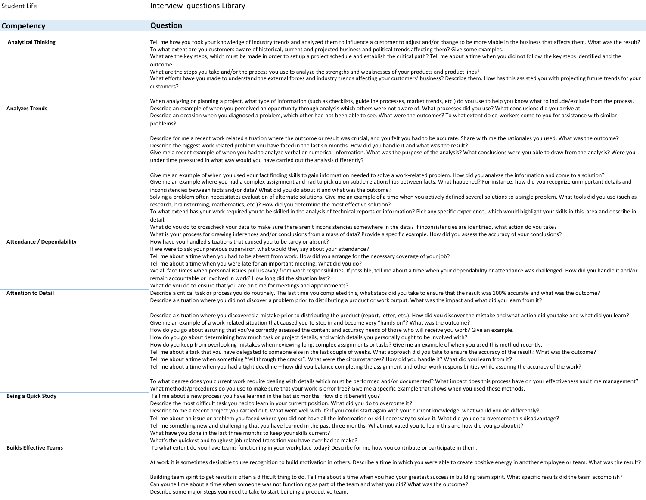| Student Life                      | Interview questions Library                                                                                                                                                                                                                                                                                                                                                                                                                                                                                                                                                                                                                                                                                                                                                                                                                                                                                                                                                                                                                                                                                                                                                                                                                                                                           |
|-----------------------------------|-------------------------------------------------------------------------------------------------------------------------------------------------------------------------------------------------------------------------------------------------------------------------------------------------------------------------------------------------------------------------------------------------------------------------------------------------------------------------------------------------------------------------------------------------------------------------------------------------------------------------------------------------------------------------------------------------------------------------------------------------------------------------------------------------------------------------------------------------------------------------------------------------------------------------------------------------------------------------------------------------------------------------------------------------------------------------------------------------------------------------------------------------------------------------------------------------------------------------------------------------------------------------------------------------------|
| Competency                        | <b>Question</b>                                                                                                                                                                                                                                                                                                                                                                                                                                                                                                                                                                                                                                                                                                                                                                                                                                                                                                                                                                                                                                                                                                                                                                                                                                                                                       |
| <b>Analytical Thinking</b>        | Tell me how you took your knowledge of industry trends and analyzed them to influence a customer to adjust and/or change to be more viable in the business that affects them. What was the result?<br>To what extent are you customers aware of historical, current and projected business and political trends affecting them? Give some examples.<br>What are the key steps, which must be made in order to set up a project schedule and establish the critical path? Tell me about a time when you did not follow the key steps identified and the<br>outcome.<br>What are the steps you take and/or the process you use to analyze the strengths and weaknesses of your products and product lines?<br>What efforts have you made to understand the external forces and industry trends affecting your customers' business? Describe them. How has this assisted you with projecting future trends for your<br>customers?                                                                                                                                                                                                                                                                                                                                                                        |
| <b>Analyzes Trends</b>            | When analyzing or planning a project, what type of information (such as checklists, guideline processes, market trends, etc.) do you use to help you know what to include/exclude from the process.<br>Describe an example of when you perceived an opportunity through analysis which others were not aware of. What processes did you use? What conclusions did you arrive at<br>Describe an occasion when you diagnosed a problem, which other had not been able to see. What were the outcomes? To what extent do co-workers come to you for assistance with similar<br>problems?                                                                                                                                                                                                                                                                                                                                                                                                                                                                                                                                                                                                                                                                                                                 |
|                                   | Describe for me a recent work related situation where the outcome or result was crucial, and you felt you had to be accurate. Share with me the rationales you used. What was the outcome?<br>Describe the biggest work related problem you have faced in the last six months. How did you handle it and what was the result?<br>Give me a recent example of when you had to analyze verbal or numerical information. What was the purpose of the analysis? What conclusions were you able to draw from the analysis? Were you<br>under time pressured in what way would you have carried out the analysis differently?                                                                                                                                                                                                                                                                                                                                                                                                                                                                                                                                                                                                                                                                               |
|                                   | Give me an example of when you used your fact finding skills to gain information needed to solve a work-related problem. How did you analyze the information and come to a solution?<br>Give me an example where you had a complex assignment and had to pick up on subtle relationships between facts. What happened? For instance, how did you recognize unimportant details and<br>inconsistencies between facts and/or data? What did you do about it and what was the outcome?<br>Solving a problem often necessitates evaluation of alternate solutions. Give me an example of a time when you actively defined several solutions to a single problem. What tools did you use (such as                                                                                                                                                                                                                                                                                                                                                                                                                                                                                                                                                                                                          |
|                                   | research, brainstorming, mathematics, etc.)? How did you determine the most effective solution?<br>To what extend has your work required you to be skilled in the analysis of technical reports or information? Pick any specific experience, which would highlight your skills in this area and describe in<br>detail.                                                                                                                                                                                                                                                                                                                                                                                                                                                                                                                                                                                                                                                                                                                                                                                                                                                                                                                                                                               |
|                                   | What do you do to crosscheck your data to make sure there aren't inconsistencies somewhere in the data? If inconsistencies are identified, what action do you take?<br>What is your process for drawing inferences and/or conclusions from a mass of data? Provide a specific example. How did you assess the accuracy of your conclusions?<br>How have you handled situations that caused you to be tardy or absent?                                                                                                                                                                                                                                                                                                                                                                                                                                                                                                                                                                                                                                                                                                                                                                                                                                                                                 |
| <b>Attendance / Dependability</b> | If we were to ask your previous supervisor, what would they say about your attendance?<br>Tell me about a time when you had to be absent from work. How did you arrange for the necessary coverage of your job?<br>Tell me about a time when you were late for an important meeting. What did you do?<br>We all face times when personal issues pull us away from work responsibilities. If possible, tell me about a time when your dependability or attendance was challenged. How did you handle it and/or<br>remain accountable or involved in work? How long did the situation last?                                                                                                                                                                                                                                                                                                                                                                                                                                                                                                                                                                                                                                                                                                             |
| <b>Attention to Detail</b>        | What do you do to ensure that you are on time for meetings and appointments?<br>Describe a critical task or process you do routinely. The last time you completed this, what steps did you take to ensure that the result was 100% accurate and what was the outcome?<br>Describe a situation where you did not discover a problem prior to distributing a product or work output. What was the impact and what did you learn from it?                                                                                                                                                                                                                                                                                                                                                                                                                                                                                                                                                                                                                                                                                                                                                                                                                                                                |
|                                   | Describe a situation where you discovered a mistake prior to distributing the product (report, letter, etc.). How did you discover the mistake and what action did you take and what did you learn?<br>Give me an example of a work-related situation that caused you to step in and become very "hands on"? What was the outcome?<br>How do you go about assuring that you've correctly assessed the content and accuracy needs of those who will receive you work? Give an example.<br>How do you go about determining how much task or project details, and which details you personally ought to be involved with?<br>How do you keep from overlooking mistakes when reviewing long, complex assignments or tasks? Give me an example of when you used this method recently.<br>Tell me about a task that you have delegated to someone else in the last couple of weeks. What approach did you take to ensure the accuracy of the result? What was the outcome?<br>Tell me about a time when something "fell through the cracks". What were the circumstances? How did you handle it? What did you learn from it?<br>Tell me about a time when you had a tight deadline - how did you balance completing the assignment and other work responsibilities while assuring the accuracy of the work? |
|                                   | To what degree does you current work require dealing with details which must be performed and/or documented? What impact does this process have on your effectiveness and time management?<br>What methods/procedures do you use to make sure that your work is error free? Give me a specific example that shows when you used these methods.                                                                                                                                                                                                                                                                                                                                                                                                                                                                                                                                                                                                                                                                                                                                                                                                                                                                                                                                                        |
| Being a Quick Study               | Tell me about a new process you have learned in the last six months. How did it benefit you?<br>Describe the most difficult task you had to learn in your current position. What did you do to overcome it?<br>Describe to me a recent project you carried out. What went well with it? If you could start again with your current knowledge, what would you do differently?<br>Tell me about an issue or problem you faced where you did not have all the information or skill necessary to solve it. What did you do to overcome this disadvantage?<br>Tell me something new and challenging that you have learned in the past three months. What motivated you to learn this and how did you go about it?<br>What have you done in the last three months to keep your skills current?<br>What's the quickest and toughest job related transition you have ever had to make?                                                                                                                                                                                                                                                                                                                                                                                                                        |
| <b>Builds Effective Teams</b>     | To what extent do you have teams functioning in your workplace today? Describe for me how you contribute or participate in them.                                                                                                                                                                                                                                                                                                                                                                                                                                                                                                                                                                                                                                                                                                                                                                                                                                                                                                                                                                                                                                                                                                                                                                      |
|                                   | At work it is sometimes desirable to use recognition to build motivation in others. Describe a time in which you were able to create positive energy in another employee or team. What was the result?                                                                                                                                                                                                                                                                                                                                                                                                                                                                                                                                                                                                                                                                                                                                                                                                                                                                                                                                                                                                                                                                                                |
|                                   | Building team spirit to get results is often a difficult thing to do. Tell me about a time when you had your greatest success in building team spirit. What specific results did the team accomplish?<br>Can you tell me about a time when someone was not functioning as part of the team and what you did? What was the outcome?<br>Describe some major steps you need to take to start building a productive team.                                                                                                                                                                                                                                                                                                                                                                                                                                                                                                                                                                                                                                                                                                                                                                                                                                                                                 |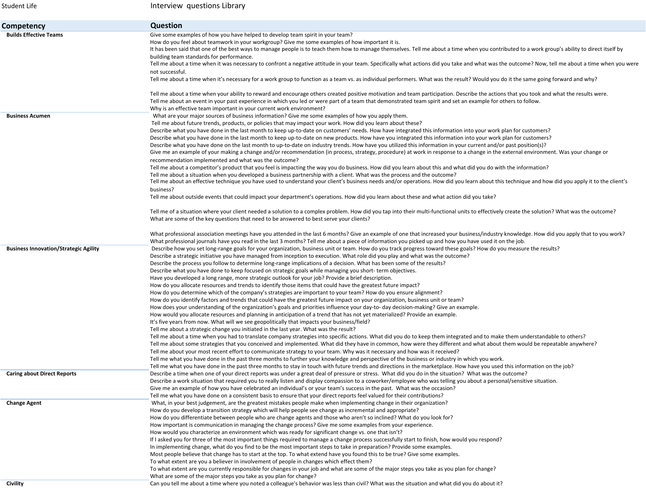| Student Life                                 | Interview questions Library                                                                                                                                                                                                                                                                       |
|----------------------------------------------|---------------------------------------------------------------------------------------------------------------------------------------------------------------------------------------------------------------------------------------------------------------------------------------------------|
| Competency                                   | <b>Question</b>                                                                                                                                                                                                                                                                                   |
| <b>Builds Effective Teams</b>                | Give some examples of how you have helped to develop team spirit in your team?                                                                                                                                                                                                                    |
|                                              | How do you feel about teamwork in your workgroup? Give me some examples of how important it is.<br>It has been said that one of the best ways to manage people is to teach them how to manage themselves. Tell me about a time when you contributed to a work group's ability to direct itself by |
|                                              | building team standards for performance.                                                                                                                                                                                                                                                          |
|                                              | Tell me about a time when it was necessary to confront a negative attitude in your team. Specifically what actions did you take and what was the outcome? Now, tell me about a time when you were<br>not successful.                                                                              |
|                                              | Tell me about a time when it's necessary for a work group to function as a team vs. as individual performers. What was the result? Would you do it the same going forward and why?                                                                                                                |
|                                              | Tell me about a time when your ability to reward and encourage others created positive motivation and team participation. Describe the actions that you took and what the results were.                                                                                                           |
|                                              | Tell me about an event in your past experience in which you led or were part of a team that demonstrated team spirit and set an example for others to follow.                                                                                                                                     |
| <b>Business Acumen</b>                       | Why is an effective team important in your current work environment?<br>What are your major sources of business information? Give me some examples of how you apply them.                                                                                                                         |
|                                              | Tell me about future trends, products, or policies that may impact your work. How did you learn about these?                                                                                                                                                                                      |
|                                              | Describe what you have done in the last month to keep up-to-date on customers' needs. How have integrated this information into your work plan for customers?                                                                                                                                     |
|                                              | Describe what you have done in the last month to keep up-to-date on new products. How have you integrated this information into your work plan for customers?                                                                                                                                     |
|                                              | Describe what you have done on the last month to up-to-date on industry trends. How have you utilized this information in your current and/or past position(s)?                                                                                                                                   |
|                                              | Give me an example of your making a change and/or recommendation (in process, strategy, procedure) at work in response to a change in the external environment. Was your change or                                                                                                                |
|                                              | recommendation implemented and what was the outcome?                                                                                                                                                                                                                                              |
|                                              | Tell me about a competitor's product that you feel is impacting the way you do business. How did you learn about this and what did you do with the information?                                                                                                                                   |
|                                              | Tell me about a situation when you developed a business partnership with a client. What was the process and the outcome?                                                                                                                                                                          |
|                                              | Tell me about an effective technique you have used to understand your client's business needs and/or operations. How did you learn about this technique and how did you apply it to the client's                                                                                                  |
|                                              | business?                                                                                                                                                                                                                                                                                         |
|                                              | Tell me about outside events that could impact your department's operations. How did you learn about these and what action did you take?                                                                                                                                                          |
|                                              | Tell me of a situation where your client needed a solution to a complex problem. How did you tap into their multi-functional units to effectively create the solution? What was the outcome?                                                                                                      |
|                                              | What are some of the key questions that need to be answered to best serve your clients?                                                                                                                                                                                                           |
|                                              | What professional association meetings have you attended in the last 6 months? Give an example of one that increased your business/industry knowledge. How did you apply that to you work?                                                                                                        |
|                                              | What professional journals have you read in the last 3 months? Tell me about a piece of information you picked up and how you have used it on the job.                                                                                                                                            |
| <b>Business Innovation/Strategic Agility</b> | Describe how you set long-range goals for your organization, business unit or team. How do you track progress toward these goals? How do you measure the results?                                                                                                                                 |
|                                              | Describe a strategic initiative you have managed from inception to execution. What role did you play and what was the outcome?                                                                                                                                                                    |
|                                              | Describe the process you follow to determine long-range implications of a decision. What has been some of the results?                                                                                                                                                                            |
|                                              | Describe what you have done to keep focused on strategic goals while managing you short-term objectives.                                                                                                                                                                                          |
|                                              | Have you developed a long range, more strategic outlook for your job? Provide a brief description.                                                                                                                                                                                                |
|                                              | How do you allocate resources and trends to identify those items that could have the greatest future impact?                                                                                                                                                                                      |
|                                              | How do you determine which of the company's strategies are important to your team? How do you ensure alignment?                                                                                                                                                                                   |
|                                              | How do you identify factors and trends that could have the greatest future impact on your organization, business unit or team?<br>How does your understanding of the organization's goals and priorities influence your day-to-day decision-making? Give an example.                              |
|                                              | How would you allocate resources and planning in anticipation of a trend that has not yet materialized? Provide an example.                                                                                                                                                                       |
|                                              | It's five years from now. What will we see geopolitically that impacts your business/field?                                                                                                                                                                                                       |
|                                              | Tell me about a strategic change you initiated in the last year. What was the result?                                                                                                                                                                                                             |
|                                              | Tell me about a time when you had to translate company strategies into specific actions. What did you do to keep them integrated and to make them understandable to others?                                                                                                                       |
|                                              | Tell me about some strategies that you conceived and implemented. What did they have in common, how were they different and what about them would be repeatable anywhere?                                                                                                                         |
|                                              | Tell me about your most recent effort to communicate strategy to your team. Why was it necessary and how was it received?                                                                                                                                                                         |
|                                              | Tell me what you have done in the past three months to further your knowledge and perspective of the business or industry in which you work.                                                                                                                                                      |
|                                              | Tell me what you have done in the past three months to stay in touch with future trends and directions in the marketplace. How have you used this information on the job?                                                                                                                         |
| <b>Caring about Direct Reports</b>           | Describe a time when one of your direct reports was under a great deal of pressure or stress. What did you do in the situation? What was the outcome?                                                                                                                                             |
|                                              | Describe a work situation that required you to really listen and display compassion to a coworker/employee who was telling you about a personal/sensitive situation.                                                                                                                              |
|                                              | Give me an example of how you have celebrated an individual's or your team's success in the past. What was the occasion?                                                                                                                                                                          |
|                                              | Tell me what you have done on a consistent basis to ensure that your direct reports feel valued for their contributions?                                                                                                                                                                          |
| <b>Change Agent</b>                          | What, in your best judgement, are the greatest mistakes people make when implementing change in their organization?                                                                                                                                                                               |
|                                              | How do you develop a transition strategy which will help people see change as incremental and appropriate?                                                                                                                                                                                        |
|                                              | How do you differentiate between people who are change agents and those who aren't so inclined? What do you look for?                                                                                                                                                                             |
|                                              | How important is communication in managing the change process? Give me some examples from your experience.                                                                                                                                                                                        |
|                                              | How would you characterize an environment which was ready for significant change vs. one that isn't?                                                                                                                                                                                              |
|                                              | If I asked you for three of the most important things required to manage a change process successfully start to finish, how would you respond?                                                                                                                                                    |
|                                              | In implementing change, what do you find to be the most important steps to take in preparation? Provide some examples.                                                                                                                                                                            |
|                                              | Most people believe that change has to start at the top. To what extend have you found this to be true? Give some examples.                                                                                                                                                                       |
|                                              | To what extent are you a believer in involvement of people in changes which effect them?                                                                                                                                                                                                          |
|                                              | To what extent are you currently responsible for changes in your job and what are some of the major steps you take as you plan for change?                                                                                                                                                        |
|                                              | What are some of the major steps you take as you plan for change?                                                                                                                                                                                                                                 |
| Civility                                     | Can you tell me about a time where you noted a colleague's behavior was less than civil? What was the situation and what did you do about it?                                                                                                                                                     |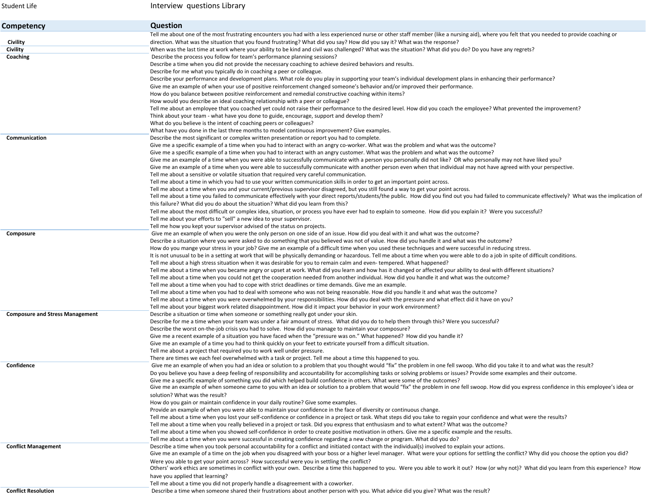| Student Life                           | Interview questions Library                                                                                                                                                                          |
|----------------------------------------|------------------------------------------------------------------------------------------------------------------------------------------------------------------------------------------------------|
| Competency                             | Question                                                                                                                                                                                             |
|                                        | Tell me about one of the most frustrating encounters you had with a less experienced nurse or other staff member (like a nursing aid), where you felt that you needed to provide coaching or         |
| Civility                               | direction. What was the situation that you found frustrating? What did you say? How did you say it? What was the response?                                                                           |
| Civility                               | When was the last time at work where your ability to be kind and civil was challenged? What was the situation? What did you do? Do you have any regrets?                                             |
| Coaching                               | Describe the process you follow for team's performance planning sessions?                                                                                                                            |
|                                        | Describe a time when you did not provide the necessary coaching to achieve desired behaviors and results.                                                                                            |
|                                        | Describe for me what you typically do in coaching a peer or colleague.                                                                                                                               |
|                                        | Describe your performance and development plans. What role do you play in supporting your team's individual development plans in enhancing their performance?                                        |
|                                        | Give me an example of when your use of positive reinforcement changed someone's behavior and/or improved their performance.                                                                          |
|                                        | How do you balance between positive reinforcement and remedial constructive coaching within items?                                                                                                   |
|                                        | How would you describe an ideal coaching relationship with a peer or colleague?                                                                                                                      |
|                                        | Tell me about an employee that you coached yet could not raise their performance to the desired level. How did you coach the employee? What prevented the improvement?                               |
|                                        | Think about your team - what have you done to guide, encourage, support and develop them?                                                                                                            |
|                                        | What do you believe is the intent of coaching peers or colleagues?                                                                                                                                   |
|                                        | What have you done in the last three months to model continuous improvement? Give examples.                                                                                                          |
| Communication                          | Describe the most significant or complex written presentation or report you had to complete.                                                                                                         |
|                                        | Give me a specific example of a time when you had to interact with an angry co-worker. What was the problem and what was the outcome?                                                                |
|                                        | Give me a specific example of a time when you had to interact with an angry customer. What was the problem and what was the outcome?                                                                 |
|                                        | Give me an example of a time when you were able to successfully communicate with a person you personally did not like? OR who personally may not have liked you?                                     |
|                                        | Give me an example of a time when you were able to successfully communicate with another person even when that individual may not have agreed with your perspective.                                 |
|                                        | Tell me about a sensitive or volatile situation that required very careful communication.                                                                                                            |
|                                        | Tell me about a time in which you had to use your written communication skills in order to get an important point across.                                                                            |
|                                        | Tell me about a time when you and your current/previous supervisor disagreed, but you still found a way to get your point across.                                                                    |
|                                        | Tell me about a time you failed to communicate effectively with your direct reports/students/the public. How did you find out you had failed to communicate effectively? What was the implication of |
|                                        | this failure? What did you do about the situation? What did you learn from this?                                                                                                                     |
|                                        | Tell me about the most difficult or complex idea, situation, or process you have ever had to explain to someone. How did you explain it? Were you successful?                                        |
|                                        | Tell me about your efforts to "sell" a new idea to your supervisor.                                                                                                                                  |
|                                        | Tell me how you kept your supervisor advised of the status on projects.                                                                                                                              |
| Composure                              | Give me an example of when you were the only person on one side of an issue. How did you deal with it and what was the outcome?                                                                      |
|                                        | Describe a situation where you were asked to do something that you believed was not of value. How did you handle it and what was the outcome?                                                        |
|                                        | How do you mange your stress in your job? Give me an example of a difficult time when you used these techniques and were successful in reducing stress.                                              |
|                                        | It is not unusual to be in a setting at work that will be physically demanding or hazardous. Tell me about a time when you were able to do a job in spite of difficult conditions.                   |
|                                        | Tell me about a high stress situation when it was desirable for you to remain calm and even-tempered. What happened?                                                                                 |
|                                        | Tell me about a time when you became angry or upset at work. What did you learn and how has it changed or affected your ability to deal with different situations?                                   |
|                                        | Tell me about a time when you could not get the cooperation needed from another individual. How did you handle it and what was the outcome?                                                          |
|                                        | Tell me about a time when you had to cope with strict deadlines or time demands. Give me an example.                                                                                                 |
|                                        | Tell me about a time when you had to deal with someone who was not being reasonable. How did you handle it and what was the outcome?                                                                 |
|                                        | Tell me about a time when you were overwhelmed by your responsibilities. How did you deal with the pressure and what effect did it have on you?                                                      |
|                                        | Tell me about your biggest work related disappointment. How did it impact your behavior in your work environment?                                                                                    |
| <b>Composure and Stress Management</b> | Describe a situation or time when someone or something really got under your skin.                                                                                                                   |
|                                        | Describe for me a time when your team was under a fair amount of stress. What did you do to help them through this? Were you successful?                                                             |
|                                        | Describe the worst on-the-job crisis you had to solve. How did you manage to maintain your composure?                                                                                                |
|                                        | Give me a recent example of a situation you have faced when the "pressure was on." What happened? How did you handle it?                                                                             |
|                                        | Give me an example of a time you had to think quickly on your feet to extricate yourself from a difficult situation.                                                                                 |
|                                        | Tell me about a project that required you to work well under pressure.                                                                                                                               |
|                                        | There are times we each feel overwhelmed with a task or project. Tell me about a time this happened to you.                                                                                          |
| Confidence                             | Give me an example of when you had an idea or solution to a problem that you thought would "fix" the problem in one fell swoop. Who did you take it to and what was the result?                      |
|                                        | Do you believe you have a deep feeling of responsibility and accountability for accomplishing tasks or solving problems or issues? Provide some examples and their outcome.                          |
|                                        | Give me a specific example of something you did which helped build confidence in others. What were some of the outcomes?                                                                             |
|                                        | Give me an example of when someone came to you with an idea or solution to a problem that would "fix" the problem in one fell swoop. How did you express confidence in this employee's idea or       |
|                                        | solution? What was the result?                                                                                                                                                                       |
|                                        | How do you gain or maintain confidence in your daily routine? Give some examples.                                                                                                                    |
|                                        |                                                                                                                                                                                                      |
|                                        | Provide an example of when you were able to maintain your confidence in the face of diversity or continuous change.                                                                                  |
|                                        | Tell me about a time when you lost your self-confidence or confidence in a project or task. What steps did you take to regain your confidence and what were the results?                             |
|                                        | Tell me about a time when you really believed in a project or task. Did you express that enthusiasm and to what extent? What was the outcome?                                                        |
|                                        | Tell me about a time when you showed self-confidence in order to create positive motivation in others. Give me a specific example and the results.                                                   |
|                                        | Tell me about a time when you were successful in creating confidence regarding a new change or program. What did you do?                                                                             |
| <b>Conflict Management</b>             | Describe a time when you took personal accountability for a conflict and initiated contact with the individual(s) involved to explain your actions.                                                  |
|                                        | Give me an example of a time on the job when you disagreed with your boss or a higher level manager. What were your options for settling the conflict? Why did you choose the option you did?        |
|                                        | Were you able to get your point across? How successful were you in settling the conflict?                                                                                                            |
|                                        | Others' work ethics are sometimes in conflict with your own. Describe a time this happened to you. Were you able to work it out? How (or why not)? What did you learn from this experience? How      |
|                                        | have you applied that learning?                                                                                                                                                                      |
|                                        | Tell me about a time you did not properly handle a disagreement with a coworker.                                                                                                                     |
| <b>Conflict Resolution</b>             | Describe a time when someone shared their frustrations about another person with you. What advice did you give? What was the result?                                                                 |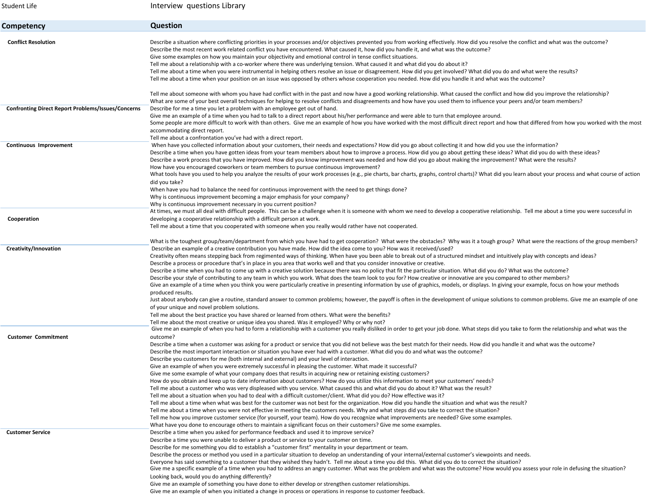| Student Life                                              | Interview questions Library                                                                                                                                                                                                                                                                                                                                                                                                                                                                                                                                                                                                                                                                                                                                                                                                                                                                                                                                                                                                                                                                                                                                                                                                                                                                                                                                                                                                                                                                                                                                                                                                                                                                                                                                                                                                                           |
|-----------------------------------------------------------|-------------------------------------------------------------------------------------------------------------------------------------------------------------------------------------------------------------------------------------------------------------------------------------------------------------------------------------------------------------------------------------------------------------------------------------------------------------------------------------------------------------------------------------------------------------------------------------------------------------------------------------------------------------------------------------------------------------------------------------------------------------------------------------------------------------------------------------------------------------------------------------------------------------------------------------------------------------------------------------------------------------------------------------------------------------------------------------------------------------------------------------------------------------------------------------------------------------------------------------------------------------------------------------------------------------------------------------------------------------------------------------------------------------------------------------------------------------------------------------------------------------------------------------------------------------------------------------------------------------------------------------------------------------------------------------------------------------------------------------------------------------------------------------------------------------------------------------------------------|
| Competency                                                | <b>Question</b>                                                                                                                                                                                                                                                                                                                                                                                                                                                                                                                                                                                                                                                                                                                                                                                                                                                                                                                                                                                                                                                                                                                                                                                                                                                                                                                                                                                                                                                                                                                                                                                                                                                                                                                                                                                                                                       |
| <b>Conflict Resolution</b>                                | Describe a situation where conflicting priorities in your processes and/or objectives prevented you from working effectively. How did you resolve the conflict and what was the outcome?<br>Describe the most recent work related conflict you have encountered. What caused it, how did you handle it, and what was the outcome?<br>Give some examples on how you maintain your objectivity and emotional control in tense conflict situations.<br>Tell me about a relationship with a co-worker where there was underlying tension. What caused it and what did you do about it?<br>Tell me about a time when you were instrumental in helping others resolve an issue or disagreement. How did you get involved? What did you do and what were the results?<br>Tell me about a time when your position on an issue was opposed by others whose cooperation you needed. How did you handle it and what was the outcome?<br>Tell me about someone with whom you have had conflict with in the past and now have a good working relationship. What caused the conflict and how did you improve the relationship?                                                                                                                                                                                                                                                                                                                                                                                                                                                                                                                                                                                                                                                                                                                                      |
| <b>Confronting Direct Report Problems/Issues/Concerns</b> | What are some of your best overall techniques for helping to resolve conflicts and disagreements and how have you used them to influence your peers and/or team members?<br>Describe for me a time you let a problem with an employee get out of hand.<br>Give me an example of a time when you had to talk to a direct report about his/her performance and were able to turn that employee around.<br>Some people are more difficult to work with than others. Give me an example of how you have worked with the most difficult direct report and how that differed from how you worked with the most<br>accommodating direct report.                                                                                                                                                                                                                                                                                                                                                                                                                                                                                                                                                                                                                                                                                                                                                                                                                                                                                                                                                                                                                                                                                                                                                                                                              |
| Continuous Improvement                                    | Tell me about a confrontation you've had with a direct report.<br>When have you collected information about your customers, their needs and expectations? How did you go about collecting it and how did you use the information?<br>Describe a time when you have gotten ideas from your team members about how to improve a process. How did you go about getting these ideas? What did you do with these ideas?<br>Describe a work process that you have improved. How did you know improvement was needed and how did you go about making the improvement? What were the results?<br>How have you encouraged coworkers or team members to pursue continuous improvement?<br>What tools have you used to help you analyze the results of your work processes (e.g., pie charts, bar charts, graphs, control charts)? What did you learn about your process and what course of action<br>did you take?<br>When have you had to balance the need for continuous improvement with the need to get things done?<br>Why is continuous improvement becoming a major emphasis for your company?                                                                                                                                                                                                                                                                                                                                                                                                                                                                                                                                                                                                                                                                                                                                                           |
| Cooperation                                               | Why is continuous improvement necessary in you current position?<br>At times, we must all deal with difficult people. This can be a challenge when it is someone with whom we need to develop a cooperative relationship. Tell me about a time you were successful in<br>developing a cooperative relationship with a difficult person at work.<br>Tell me about a time that you cooperated with someone when you really would rather have not cooperated.                                                                                                                                                                                                                                                                                                                                                                                                                                                                                                                                                                                                                                                                                                                                                                                                                                                                                                                                                                                                                                                                                                                                                                                                                                                                                                                                                                                            |
| Creativity/Innovation                                     | What is the toughest group/team/department from which you have had to get cooperation? What were the obstacles? Why was it a tough group? What were the reactions of the group members?<br>Describe an example of a creative contribution you have made. How did the idea come to you? How was it received/used?<br>Creativity often means stepping back from regimented ways of thinking. When have you been able to break out of a structured mindset and intuitively play with concepts and ideas?<br>Describe a process or procedure that's in place in you area that works well and that you consider innovative or creative.<br>Describe a time when you had to come up with a creative solution because there was no policy that fit the particular situation. What did you do? What was the outcome?<br>Describe your style of contributing to any team in which you work. What does the team look to you for? How creative or innovative are you compared to other members?<br>Give an example of a time when you think you were particularly creative in presenting information by use of graphics, models, or displays. In giving your example, focus on how your methods<br>produced results.<br>Just about anybody can give a routine, standard answer to common problems; however, the payoff is often in the development of unique solutions to common problems. Give me an example of one<br>of your unique and novel problem solutions.<br>Tell me about the best practice you have shared or learned from others. What were the benefits?<br>Tell me about the most creative or unique idea you shared. Was it employed? Why or why not?                                                                                                                                                                                            |
| <b>Customer Commitment</b>                                | Give me an example of when you had to form a relationship with a customer you really disliked in order to get your job done. What steps did you take to form the relationship and what was the<br>outcome?<br>Describe a time when a customer was asking for a product or service that you did not believe was the best match for their needs. How did you handle it and what was the outcome?<br>Describe the most important interaction or situation you have ever had with a customer. What did you do and what was the outcome?<br>Describe you customers for me (both internal and external) and your level of interaction.<br>Give an example of when you were extremely successful in pleasing the customer. What made it successful?<br>Give me some example of what your company does that results in acquiring new or retaining existing customers?<br>How do you obtain and keep up to date information about customers? How do you utilize this information to meet your customers' needs?<br>Tell me about a customer who was very displeased with you service. What caused this and what did you do about it? What was the result?<br>Tell me about a situation when you had to deal with a difficult customer/client. What did you do? How effective was it?<br>Tell me about a time when what was best for the customer was not best for the organization. How did you handle the situation and what was the result?<br>Tell me about a time when you were not effective in meeting the customers needs. Why and what steps did you take to correct the situation?<br>Tell me how you improve customer service (for yourself, your team). How do you recognize what improvements are needed? Give some examples.<br>What have you done to encourage others to maintain a significant focus on their customers? Give me some examples. |
| <b>Customer Service</b>                                   | Describe a time when you asked for performance feedback and used it to improve service?<br>Describe a time you were unable to deliver a product or service to your customer on time.<br>Describe for me something you did to establish a "customer first" mentality in your department or team.<br>Describe the process or method you used in a particular situation to develop an understanding of your internal/external customer's viewpoints and needs.<br>Everyone has said something to a customer that they wished they hadn't. Tell me about a time you did this. What did you do to correct the situation?<br>Give me a specific example of a time when you had to address an angry customer. What was the problem and what was the outcome? How would you assess your role in defusing the situation?<br>Looking back, would you do anything differently?<br>Give me an example of something you have done to either develop or strengthen customer relationships.<br>Give me an example of when you initiated a change in process or operations in response to customer feedback.                                                                                                                                                                                                                                                                                                                                                                                                                                                                                                                                                                                                                                                                                                                                                          |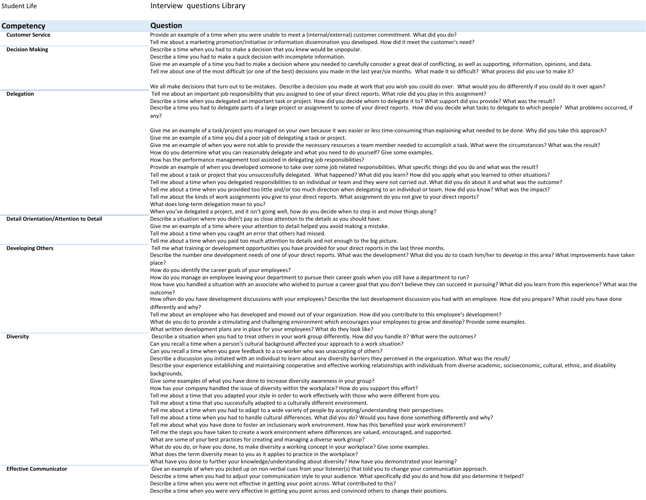| Student Life                                  | Interview questions Library                                                                                                                                                                                                                                                                                                                                         |
|-----------------------------------------------|---------------------------------------------------------------------------------------------------------------------------------------------------------------------------------------------------------------------------------------------------------------------------------------------------------------------------------------------------------------------|
| Competency                                    | <b>Question</b>                                                                                                                                                                                                                                                                                                                                                     |
| <b>Customer Service</b>                       | Provide an example of a time when you were unable to meet a (internal/external) customer commitment. What did you do?<br>Tell me about a marketing promotion/initiative or information dissemination you developed. How did it meet the customer's need?                                                                                                            |
| <b>Decision Making</b>                        | Describe a time when you had to make a decision that you knew would be unpopular.                                                                                                                                                                                                                                                                                   |
|                                               | Describe a time you had to make a quick decision with incomplete information.                                                                                                                                                                                                                                                                                       |
|                                               | Give me an example of a time you had to make a decision where you needed to carefully consider a great deal of conflicting, as well as supporting, information, opinions, and data.<br>Tell me about one of the most difficult (or one of the best) decisions you made in the last year/six months. What made it so difficult? What process did you use to make it? |
| Delegation                                    | We all make decisions that turn out to be mistakes. Describe a decision you made at work that you wish you could do over. What would you do differently if you could do it over again?<br>Tell me about an important job responsibility that you assigned to one of your direct reports. What role did you play in this assignment?                                 |
|                                               | Describe a time when you delegated an important task or project. How did you decide whom to delegate it to? What support did you provide? What was the result?                                                                                                                                                                                                      |
|                                               | Describe a time you had to delegate parts of a large project or assignment to some of your direct reports. How did you decide what tasks to delegate to which people? What problems occurred, if                                                                                                                                                                    |
|                                               | any?                                                                                                                                                                                                                                                                                                                                                                |
|                                               | Give me an example of a task/project you managed on your own because it was easier or less time-consuming than explaining what needed to be done. Why did you take this approach?                                                                                                                                                                                   |
|                                               | Give me an example of a time you did a poor job of delegating a task or project.                                                                                                                                                                                                                                                                                    |
|                                               | Give me an example of when you were not able to provide the necessary resources a team member needed to accomplish a task. What were the circumstances? What was the result?                                                                                                                                                                                        |
|                                               | How do you determine what you can reasonably delegate and what you need to do yourself? Give some examples.<br>How has the performance management tool assisted in delegating job responsibilities?                                                                                                                                                                 |
|                                               | Provide an example of when you developed someone to take over some job related responsibilities. What specific things did you do and what was the result?                                                                                                                                                                                                           |
|                                               | Tell me about a task or project that you unsuccessfully delegated. What happened? What did you learn? How did you apply what you learned to other situations?                                                                                                                                                                                                       |
|                                               | Tell me about a time when you delegated responsibilities to an individual or team and they were not carried out. What did you do about it and what was the outcome?                                                                                                                                                                                                 |
|                                               | Tell me about a time when you provided too little and/or too much direction when delegating to an individual or team. How did you know? What was the impact?                                                                                                                                                                                                        |
|                                               | Tell me about the kinds of work assignments you give to your direct reports. What assignment do you not give to your direct reports?                                                                                                                                                                                                                                |
|                                               | What does long-term delegation mean to you?                                                                                                                                                                                                                                                                                                                         |
|                                               | When you've delegated a project, and it isn't going well, how do you decide when to step in and move things along?                                                                                                                                                                                                                                                  |
| <b>Detail Orientation/Attention to Detail</b> | Describe a situation where you didn't pay as close attention to the details as you should have.                                                                                                                                                                                                                                                                     |
|                                               | Give me an example of a time where your attention to detail helped you avoid making a mistake.                                                                                                                                                                                                                                                                      |
|                                               | Tell me about a time when you caught an error that others had missed.                                                                                                                                                                                                                                                                                               |
|                                               | Tell me about a time when you paid too much attention to details and not enough to the big picture.                                                                                                                                                                                                                                                                 |
| <b>Developing Others</b>                      | Tell me what training or development opportunities you have provided for your direct reports in the last three months.<br>Describe the number one development needs of one of your direct reports. What was the development? What did you do to coach him/her to develop in this area? What improvements have taken                                                 |
|                                               | place?                                                                                                                                                                                                                                                                                                                                                              |
|                                               | How do you identify the career goals of your employees?                                                                                                                                                                                                                                                                                                             |
|                                               | How do you manage an employee leaving your department to pursue their career goals when you still have a department to run?                                                                                                                                                                                                                                         |
|                                               | How have you handled a situation with an associate who wished to pursue a career goal that you don't believe they can succeed in pursuing? What did you learn from this experience? What was the                                                                                                                                                                    |
|                                               | outcome?                                                                                                                                                                                                                                                                                                                                                            |
|                                               | How often do you have development discussions with your employees? Describe the last development discussion you had with an employee. How did you prepare? What could you have done                                                                                                                                                                                 |
|                                               | differently and why?                                                                                                                                                                                                                                                                                                                                                |
|                                               | Tell me about an employee who has developed and moved out of your organization. How did you contribute to this employee's development?                                                                                                                                                                                                                              |
|                                               | What do you do to provide a stimulating and challenging environment which encourages your employees to grow and develop? Provide some examples.<br>What written development plans are in place for your employees? What do they look like?                                                                                                                          |
| <b>Diversity</b>                              | Describe a situation when you had to treat others in your work group differently. How did you handle it? What were the outcomes?                                                                                                                                                                                                                                    |
|                                               | Can you recall a time when a person's cultural background affected your approach to a work situation?                                                                                                                                                                                                                                                               |
|                                               | Can you recall a time when you gave feedback to a co-worker who was unaccepting of others?                                                                                                                                                                                                                                                                          |
|                                               | Describe a discussion you initiated with an individual to learn about any diversity barriers they perceived in the organization. What was the result/                                                                                                                                                                                                               |
|                                               | Describe your experience establishing and maintaining cooperative and effective working relationships with individuals from diverse academic, socioeconomic, cultural, ethnic, and disability                                                                                                                                                                       |
|                                               | backgrounds.                                                                                                                                                                                                                                                                                                                                                        |
|                                               | Give some examples of what you have done to increase diversity awareness in your group?                                                                                                                                                                                                                                                                             |
|                                               | How has your company handled the issue of diversity within the workplace? How do you support this effort?                                                                                                                                                                                                                                                           |
|                                               | Tell me about a time that you adapted your style in order to work effectively with those who were different from you.                                                                                                                                                                                                                                               |
|                                               | Tell me about a time that you successfully adapted to a culturally different environment.                                                                                                                                                                                                                                                                           |
|                                               | Tell me about a time when you had to adapt to a wide variety of people by accepting/understanding their perspectives.                                                                                                                                                                                                                                               |
|                                               | Tell me about a time when you had to handle cultural differences. What did you do? Would you have done something differently and why?                                                                                                                                                                                                                               |
|                                               | Tell me about what you have done to foster an inclusionary work environment. How has this benefited your work environment?                                                                                                                                                                                                                                          |
|                                               | Tell me the steps you have taken to create a work environment where differences are valued, encouraged, and supported.                                                                                                                                                                                                                                              |
|                                               | What are some of your best practices for creating and managing a diverse work group?                                                                                                                                                                                                                                                                                |
|                                               | What do you do, or have you done, to make diversity a working concept in your workplace? Give some examples.                                                                                                                                                                                                                                                        |
|                                               | What does the term diversity mean to you as it applies to practice in the workplace?                                                                                                                                                                                                                                                                                |
|                                               | What have you done to further your knowledge/understanding about diversity? How have you demonstrated your learning?                                                                                                                                                                                                                                                |
| <b>Effective Communicator</b>                 | Give an example of when you picked up on non-verbal cues from your listener(s) that told you to change your communication approach.                                                                                                                                                                                                                                 |
|                                               | Describe a time when you had to adjust your communication style to your audience. What specifically did you do and how did you determine it helped?                                                                                                                                                                                                                 |
|                                               | Describe a time when you were not effective in getting your point across. What contributed to this?                                                                                                                                                                                                                                                                 |
|                                               | Describe a time when you were very effective in getting you point across and convinced others to change their positions.                                                                                                                                                                                                                                            |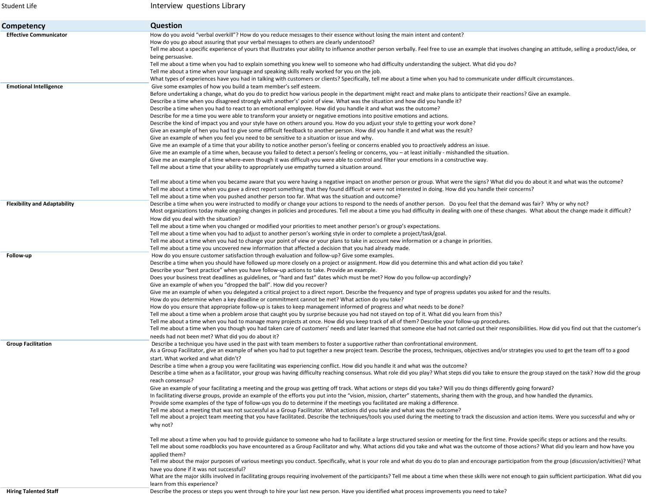| Student Life                        | Interview questions Library                                                                                                                                                                                                                                                                                                                                                                                                                                                                                                                                                                                                                                                                                                                                                                                                                                                                                                                                                                                                                                                                                                                                                                                                                                                                                                                                                                                                                                                                                                                                                                                                                                                                                                                                                                                                                                                                                                                                                                        |
|-------------------------------------|----------------------------------------------------------------------------------------------------------------------------------------------------------------------------------------------------------------------------------------------------------------------------------------------------------------------------------------------------------------------------------------------------------------------------------------------------------------------------------------------------------------------------------------------------------------------------------------------------------------------------------------------------------------------------------------------------------------------------------------------------------------------------------------------------------------------------------------------------------------------------------------------------------------------------------------------------------------------------------------------------------------------------------------------------------------------------------------------------------------------------------------------------------------------------------------------------------------------------------------------------------------------------------------------------------------------------------------------------------------------------------------------------------------------------------------------------------------------------------------------------------------------------------------------------------------------------------------------------------------------------------------------------------------------------------------------------------------------------------------------------------------------------------------------------------------------------------------------------------------------------------------------------------------------------------------------------------------------------------------------------|
| Competency                          | <b>Question</b>                                                                                                                                                                                                                                                                                                                                                                                                                                                                                                                                                                                                                                                                                                                                                                                                                                                                                                                                                                                                                                                                                                                                                                                                                                                                                                                                                                                                                                                                                                                                                                                                                                                                                                                                                                                                                                                                                                                                                                                    |
| <b>Effective Communicator</b>       | How do you avoid "verbal overkill"? How do you reduce messages to their essence without losing the main intent and content?<br>How do you go about assuring that your verbal messages to others are clearly understood?<br>Tell me about a specific experience of yours that illustrates your ability to influence another person verbally. Feel free to use an example that involves changing an attitude, selling a product/idea, or<br>being persuasive.<br>Tell me about a time when you had to explain something you knew well to someone who had difficulty understanding the subject. What did you do?<br>Tell me about a time when your language and speaking skills really worked for you on the job.                                                                                                                                                                                                                                                                                                                                                                                                                                                                                                                                                                                                                                                                                                                                                                                                                                                                                                                                                                                                                                                                                                                                                                                                                                                                                     |
| <b>Emotional Intelligence</b>       | What types of experiences have you had in talking with customers or clients? Specifically, tell me about a time when you had to communicate under difficult circumstances.<br>Give some examples of how you build a team member's self esteem.<br>Before undertaking a change, what do you do to predict how various people in the department might react and make plans to anticipate their reactions? Give an example.<br>Describe a time when you disagreed strongly with another's' point of view. What was the situation and how did you handle it?<br>Describe a time when you had to react to an emotional employee. How did you handle it and what was the outcome?<br>Describe for me a time you were able to transform your anxiety or negative emotions into positive emotions and actions.<br>Describe the kind of impact you and your style have on others around you. How do you adjust your style to getting your work done?<br>Give an example of hen you had to give some difficult feedback to another person. How did you handle it and what was the result?<br>Give an example of when you feel you need to be sensitive to a situation or issue and why.<br>Give me an example of a time that your ability to notice another person's feeling or concerns enabled you to proactively address an issue.<br>Give me an example of a time when, because you failed to detect a person's feeling or concerns, you - at least initially - mishandled the situation.<br>Give me an example of a time where-even though it was difficult-you were able to control and filter your emotions in a constructive way.                                                                                                                                                                                                                                                                                                                                                                    |
|                                     | Tell me about a time that your ability to appropriately use empathy turned a situation around.<br>Tell me about a time when you became aware that you were having a negative impact on another person or group. What were the signs? What did you do about it and what was the outcome?<br>Tell me about a time when you gave a direct report something that they found difficult or were not interested in doing. How did you handle their concerns?<br>Tell me about a time when you pushed another person too far. What was the situation and outcome?                                                                                                                                                                                                                                                                                                                                                                                                                                                                                                                                                                                                                                                                                                                                                                                                                                                                                                                                                                                                                                                                                                                                                                                                                                                                                                                                                                                                                                          |
| <b>Flexibility and Adaptability</b> | Describe a time when you were instructed to modify or change your actions to respond to the needs of another person. Do you feel that the demand was fair? Why or why not?<br>Most organizations today make ongoing changes in policies and procedures. Tell me about a time you had difficulty in dealing with one of these changes. What about the change made it difficult?<br>How did you deal with the situation?<br>Tell me about a time when you changed or modified your priorities to meet another person's or group's expectations.<br>Tell me about a time when you had to adjust to another person's working style in order to complete a project/task/goal.<br>Tell me about a time when you had to change your point of view or your plans to take in account new information or a change in priorities.<br>Tell me about a time you uncovered new information that affected a decision that you had already made.                                                                                                                                                                                                                                                                                                                                                                                                                                                                                                                                                                                                                                                                                                                                                                                                                                                                                                                                                                                                                                                                   |
| Follow-up                           | How do you ensure customer satisfaction through evaluation and follow-up? Give some examples.<br>Describe a time when you should have followed up more closely on a project or assignment. How did you determine this and what action did you take?<br>Describe your "best practice" when you have follow-up actions to take. Provide an example.<br>Does your business treat deadlines as guidelines, or "hard and fast" dates which must be met? How do you follow-up accordingly?<br>Give an example of when you "dropped the ball". How did you recover?<br>Give me an example of when you delegated a critical project to a direct report. Describe the frequency and type of progress updates you asked for and the results.<br>How do you determine when a key deadline or commitment cannot be met? What action do you take?<br>How do you ensure that appropriate follow-up is takes to keep management informed of progress and what needs to be done?<br>Tell me about a time when a problem arose that caught you by surprise because you had not stayed on top of it. What did you learn from this?<br>Tell me about a time when you had to manage many projects at once. How did you keep track of all of them? Describe your follow-up procedures.<br>Tell me about a time when you though you had taken care of customers' needs and later learned that someone else had not carried out their responsibilities. How did you find out that the customer's<br>needs had not been met? What did you do about it?                                                                                                                                                                                                                                                                                                                                                                                                                                                                     |
| <b>Group Facilitation</b>           | Describe a technique you have used in the past with team members to foster a supportive rather than confrontational environment.<br>As a Group Facilitator, give an example of when you had to put together a new project team. Describe the process, techniques, objectives and/or strategies you used to get the team off to a good<br>start. What worked and what didn't?<br>Describe a time when a group you were facilitating was experiencing conflict. How did you handle it and what was the outcome?<br>Describe a time when as a facilitator, your group was having difficulty reaching consensus. What role did you play? What steps did you take to ensure the group stayed on the task? How did the group<br>reach consensus?<br>Give an example of your facilitating a meeting and the group was getting off track. What actions or steps did you take? Will you do things differently going forward?<br>In facilitating diverse groups, provide an example of the efforts you put into the "vision, mission, charter" statements, sharing them with the group, and how handled the dynamics.<br>Provide some examples of the type of follow-ups you do to determine if the meetings you facilitated are making a difference.<br>Tell me about a meeting that was not successful as a Group Facilitator. What actions did you take and what was the outcome?<br>Tell me about a project team meeting that you have facilitated. Describe the techniques/tools you used during the meeting to track the discussion and action items. Were you successful and why or<br>why not?<br>Tell me about a time when you had to provide guidance to someone who had to facilitate a large structured session or meeting for the first time. Provide specific steps or actions and the results.<br>Tell me about some roadblocks you have encountered as a Group Facilitator and why. What actions did you take and what was the outcome of those actions? What did you learn and how have you |
|                                     | applied them?<br>Tell me about the major purposes of various meetings you conduct. Specifically, what is your role and what do you do to plan and encourage participation from the group (discussion/activities)? What<br>have you done if it was not successful?<br>What are the major skills involved in facilitating groups requiring involvement of the participants? Tell me about a time when these skills were not enough to gain sufficient participation. What did you<br>learn from this experience?                                                                                                                                                                                                                                                                                                                                                                                                                                                                                                                                                                                                                                                                                                                                                                                                                                                                                                                                                                                                                                                                                                                                                                                                                                                                                                                                                                                                                                                                                     |
| Hiring Talented Staff               | Describe the process or steps you went through to bire your last new person. Have you identified what process improvements you peed to take?                                                                                                                                                                                                                                                                                                                                                                                                                                                                                                                                                                                                                                                                                                                                                                                                                                                                                                                                                                                                                                                                                                                                                                                                                                                                                                                                                                                                                                                                                                                                                                                                                                                                                                                                                                                                                                                       |

**Hiring Talented Staff Describe the process or steps you went through to hire your last new person. Have you identified what process improvements you need to take?**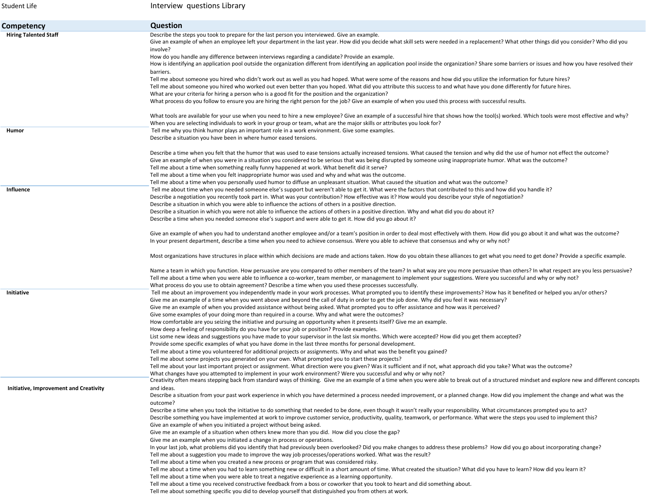| Student Life                           | Interview questions Library                                                                                                                                                                                                                                                                                                                                                                                                                                                                                                                                      |
|----------------------------------------|------------------------------------------------------------------------------------------------------------------------------------------------------------------------------------------------------------------------------------------------------------------------------------------------------------------------------------------------------------------------------------------------------------------------------------------------------------------------------------------------------------------------------------------------------------------|
| Competency                             | <b>Question</b>                                                                                                                                                                                                                                                                                                                                                                                                                                                                                                                                                  |
| <b>Hiring Talented Staff</b>           | Describe the steps you took to prepare for the last person you interviewed. Give an example.<br>Give an example of when an employee left your department in the last year. How did you decide what skill sets were needed in a replacement? What other things did you consider? Who did you<br>involve?                                                                                                                                                                                                                                                          |
|                                        | How do you handle any difference between interviews regarding a candidate? Provide an example.<br>How is identifying an application pool outside the organization different from identifying an application pool inside the organization? Share some barriers or issues and how you have resolved their                                                                                                                                                                                                                                                          |
|                                        | barriers.<br>Tell me about someone you hired who didn't work out as well as you had hoped. What were some of the reasons and how did you utilize the information for future hires?<br>Tell me about someone you hired who worked out even better than you hoped. What did you attribute this success to and what have you done differently for future hires.                                                                                                                                                                                                     |
|                                        | What are your criteria for hiring a person who is a good fit for the position and the organization?<br>What process do you follow to ensure you are hiring the right person for the job? Give an example of when you used this process with successful results.                                                                                                                                                                                                                                                                                                  |
|                                        | What tools are available for your use when you need to hire a new employee? Give an example of a successful hire that shows how the tool(s) worked. Which tools were most effective and why?<br>When you are selecting individuals to work in your group or team, what are the major skills or attributes you look for?                                                                                                                                                                                                                                          |
| Humor                                  | Tell me why you think humor plays an important role in a work environment. Give some examples.<br>Describe a situation you have been in where humor eased tensions.                                                                                                                                                                                                                                                                                                                                                                                              |
|                                        | Describe a time when you felt that the humor that was used to ease tensions actually increased tensions. What caused the tension and why did the use of humor not effect the outcome?<br>Give an example of when you were in a situation you considered to be serious that was being disrupted by someone using inappropriate humor. What was the outcome?<br>Tell me about a time when something really funny happened at work. What benefit did it serve?<br>Tell me about a time when you felt inappropriate humor was used and why and what was the outcome. |
|                                        | Tell me about a time when you personally used humor to diffuse an unpleasant situation. What caused the situation and what was the outcome?                                                                                                                                                                                                                                                                                                                                                                                                                      |
| Influence                              | Tell me about time when you needed someone else's support but weren't able to get it. What were the factors that contributed to this and how did you handle it?                                                                                                                                                                                                                                                                                                                                                                                                  |
|                                        | Describe a negotiation you recently took part in. What was your contribution? How effective was it? How would you describe your style of negotiation?                                                                                                                                                                                                                                                                                                                                                                                                            |
|                                        | Describe a situation in which you were able to influence the actions of others in a positive direction.                                                                                                                                                                                                                                                                                                                                                                                                                                                          |
|                                        | Describe a situation in which you were not able to influence the actions of others in a positive direction. Why and what did you do about it?<br>Describe a time when you needed someone else's support and were able to get it. How did you go about it?                                                                                                                                                                                                                                                                                                        |
|                                        | Give an example of when you had to understand another employee and/or a team's position in order to deal most effectively with them. How did you go about it and what was the outcome?<br>In your present department, describe a time when you need to achieve consensus. Were you able to achieve that consensus and why or why not?                                                                                                                                                                                                                            |
|                                        | Most organizations have structures in place within which decisions are made and actions taken. How do you obtain these alliances to get what you need to get done? Provide a specific example.                                                                                                                                                                                                                                                                                                                                                                   |
|                                        | Name a team in which you function. How persuasive are you compared to other members of the team? In what way are you more persuasive than others? In what respect are you less persuasive?<br>Tell me about a time when you were able to influence a co-worker, team member, or management to implement your suggestions. Were you successful and why or why not?<br>What process do you use to obtain agreement? Describe a time when you used these processes successfully.                                                                                    |
| Initiative                             | Tell me about an improvement you independently made in your work processes. What prompted you to identify these improvements? How has it benefited or helped you an/or others?<br>Give me an example of a time when you went above and beyond the call of duty in order to get the job done. Why did you feel it was necessary?                                                                                                                                                                                                                                  |
|                                        | Give me an example of when you provided assistance without being asked. What prompted you to offer assistance and how was it perceived?<br>Give some examples of your doing more than required in a course. Why and what were the outcomes?                                                                                                                                                                                                                                                                                                                      |
|                                        | How comfortable are you seizing the initiative and pursuing an opportunity when it presents itself? Give me an example.                                                                                                                                                                                                                                                                                                                                                                                                                                          |
|                                        | How deep a feeling of responsibility do you have for your job or position? Provide examples.                                                                                                                                                                                                                                                                                                                                                                                                                                                                     |
|                                        | List some new ideas and suggestions you have made to your supervisor in the last six months. Which were accepted? How did you get them accepted?                                                                                                                                                                                                                                                                                                                                                                                                                 |
|                                        | Provide some specific examples of what you have dome in the last three months for personal development.                                                                                                                                                                                                                                                                                                                                                                                                                                                          |
|                                        | Tell me about a time you volunteered for additional projects or assignments. Why and what was the benefit you gained?                                                                                                                                                                                                                                                                                                                                                                                                                                            |
|                                        | Tell me about some projects you generated on your own. What prompted you to start these projects?<br>Tell me about your last important project or assignment. What direction were you given? Was it sufficient and if not, what approach did you take? What was the outcome?                                                                                                                                                                                                                                                                                     |
|                                        | What changes have you attempted to implement in your work environment? Were you successful and why or why not?                                                                                                                                                                                                                                                                                                                                                                                                                                                   |
| Initiative, Improvement and Creativity | Creativity often means stepping back from standard ways of thinking. Give me an example of a time when you were able to break out of a structured mindset and explore new and different concepts<br>and ideas.                                                                                                                                                                                                                                                                                                                                                   |
|                                        | Describe a situation from your past work experience in which you have determined a process needed improvement, or a planned change. How did you implement the change and what was the<br>outcome?                                                                                                                                                                                                                                                                                                                                                                |
|                                        | Describe a time when you took the initiative to do something that needed to be done, even though it wasn't really your responsibility. What circumstances prompted you to act?<br>Describe something you have implemented at work to improve customer service, productivity, quality, teamwork, or performance. What were the steps you used to implement this?<br>Give an example of when you initiated a project without being asked.                                                                                                                          |
|                                        | Give me an example of a situation when others knew more than you did. How did you close the gap?                                                                                                                                                                                                                                                                                                                                                                                                                                                                 |
|                                        | Give me an example when you initiated a change in process or operations.<br>In your last job, what problems did you identify that had previously been overlooked? Did you make changes to address these problems? How did you go about incorporating change?                                                                                                                                                                                                                                                                                                     |
|                                        | Tell me about a suggestion you made to improve the way job processes/operations worked. What was the result?<br>Tell me about a time when you created a new process or program that was considered risky.                                                                                                                                                                                                                                                                                                                                                        |
|                                        | Tell me about a time when you had to learn something new or difficult in a short amount of time. What created the situation? What did you have to learn? How did you learn it?                                                                                                                                                                                                                                                                                                                                                                                   |
|                                        | Tell me about a time when you were able to treat a negative experience as a learning opportunity.                                                                                                                                                                                                                                                                                                                                                                                                                                                                |
|                                        | Tell me about a time you received constructive feedback from a boss or coworker that you took to heart and did something about.                                                                                                                                                                                                                                                                                                                                                                                                                                  |
|                                        | Tell me about something specific you did to develop yourself that distinguished you from others at work.                                                                                                                                                                                                                                                                                                                                                                                                                                                         |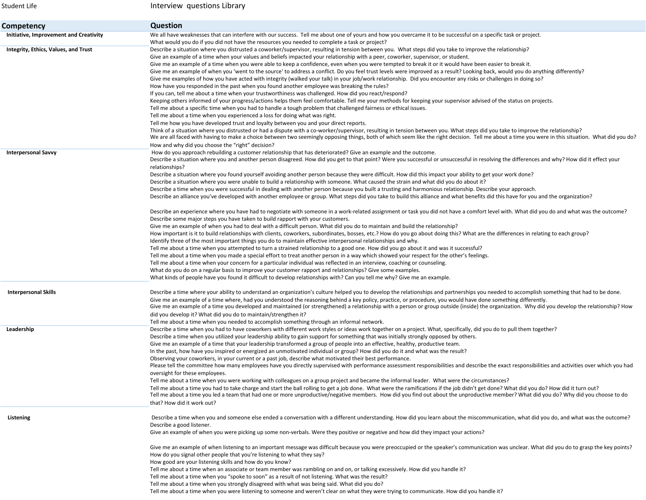**Competency Question** Initiative, Improvement and Creativity Weall have weaknesses that can interfere with our success. Tell me about one of yours and how you overcame it to be successful on a specific task or project. What would you do if you did not have the resources you needed to complete <sup>a</sup> task or project? Integrity, Ethics, Values, and Trust **Describe a situation where you distrusted** a coworker/supervisor, resulting in tension between you. What steps did you take to improve the relationship? Give an example of <sup>a</sup> time when your values and beliefs impacted your relationship with <sup>a</sup> peer, coworker, supervisor, or student. Give me an example of <sup>a</sup> time when you were able to keep <sup>a</sup> confidence, even when you were tempted to break it or it would have been easier to break it. Give me an example of when you 'went to the source' to address <sup>a</sup> conflict. Do you feel trust levels were improved as <sup>a</sup> result? Looking back, would you do anything differently? Give me examples of how you have acted with integrity (walked your talk) in your job/work relationship. Did you encounter any risks or challenges in doing so? How have you responded in the past when you found another employee was breaking the rules? If you can, tell me about <sup>a</sup> time when your trustworthiness was challenged. How did you react/respond? Keeping others informed of your progress/actions helps them feel comfortable. Tell me your methods for keeping your supervisor advised of the status on projects. Tell me about <sup>a</sup> specific time when you had to handle <sup>a</sup> tough problem that challenged fairness or ethical issues. Tell me about <sup>a</sup> time when you experienced <sup>a</sup> loss for doing what was right. Tell me how you have developed trust and loyalty between you and your direct reports. Think of <sup>a</sup> situation where you distrusted or had <sup>a</sup> dispute with <sup>a</sup> co‐worker/supervisor, resulting in tension between you. What steps did you take to improve the relationship? We are all faced with having to make a choice between two seemingly opposing things, both of which seem like the right decision. Tell me about a time you were in this situation. What did you do? How and why did you choose the "right" decision? **Interpersonal Savvy Example and the outcome.** How do you approach rebuilding a customer relationship that has deteriorated? Give an example and the outcome. Describe <sup>a</sup> situation where you and another person disagreed. How did you get to that point? Were you successful or unsuccessful in resolving the differences and why? How did it effect your relationships? Describe <sup>a</sup> situation where you found yourself avoiding another person because they were difficult. How did this impact your ability to get your work done? Describe <sup>a</sup> situation where you were unable to build <sup>a</sup> relationship with someone. What caused the strain and what did you do about it? Describe <sup>a</sup> time when you were successful in dealing with another person because you built <sup>a</sup> trusting and harmonious relationship. Describe your approach. Describe an alliance you've developed with another employee or group. What steps did you take to build this alliance and what benefits did this have for you and the organization? Describe an experience where you have had to negotiate with someone in <sup>a</sup> work‐related assignment or task you did not have <sup>a</sup> comfort level with. What did you do and what was the outcome? Describe some major steps you have taken to build rapport with your customers. Give me an example of when you had to deal with <sup>a</sup> difficult person. What did you do to maintain and build the relationship? How important is it to build relationships with clients, coworkers, subordinates, bosses, etc.? How do you go about doing this? What are the differences in relating to each group? Identify three of the most important things you do to maintain effective interpersonal relationships and why. Tell me about <sup>a</sup> time when you attempted to turn <sup>a</sup> strained relationship to <sup>a</sup> good one. How did you go about it and was it successful? Tell me about <sup>a</sup> time when you made <sup>a</sup> special effort to treat another person in <sup>a</sup> way which showed your respect for the other's feelings. Tell me about <sup>a</sup> time when your concern for <sup>a</sup> particular individual was reflected in an interview, coaching or counseling. What do you do on <sup>a</sup> regular basis to improve your customer rapport and relationships? Give some examples. What kinds of people have you found it difficult to develop relationships with? Can you tell me why? Give me an example. Interpersonal Skills **Exercit and Skills** Describe a time where your ability to understand an organization's culture helped you to develop the relationships and partnerships you needed to accomplish something that had to b Give me an example of <sup>a</sup> time where, had you understood the reasoning behind <sup>a</sup> key policy, practice, or procedure, you would have done something differently. Give me an example of <sup>a</sup> time you developed and maintained (or strengthened) <sup>a</sup> relationship with <sup>a</sup> person or group outside (inside) the organization. Why did you develop the relationship? How did you develop it? What did you do to maintain/strengthen it? Tell me about <sup>a</sup> time when you needed to accomplish something through an informal network. Leadership **Exagership** Describe a time when you had to have coworkers with different work styles or ideas work together on a project. What, specifically, did you do to pull them together? Describe <sup>a</sup> time when you utilized your leadership ability to gain support for something that was initially strongly opposed by others. Give me an example of <sup>a</sup> time that your leadership transformed <sup>a</sup> group of people into an effective, healthy, productive team. In the past, how have you inspired or energized an unmotivated individual or group? How did you do it and what was the result? Observing your coworkers, in your current or <sup>a</sup> past job, describe what motivated their best performance. Please tell the committee how many employees have you directly supervised with performance assessment responsibilities and describe the exact responsibilities and activities over which you had oversight for these employees. Tell me about <sup>a</sup> time when you were working with colleagues on <sup>a</sup> group project and became the informal leader. What were the circumstances? Tell me about <sup>a</sup> time you had to take charge and start the ball rolling to get <sup>a</sup> job done. What were the ramifications if the job didn't get done? What did you do? How did it turn out? Tell me about <sup>a</sup> time you led <sup>a</sup> team that had one or more unproductive/negative members. How did you find out about the unproductive member? What did you do? Why did you choose to do that? How did it work out? Listening many of the state of the when you and someone else ended a conversation with a different understanding. How did you learn about the miscommunication, what did you do, and what was the outcome? Describe <sup>a</sup> good listener. Give an example of when you were picking up some non‐verbals. Were they positive or negative and how did they impact your actions? Give me an example of when listening to an important message was difficult because you were preoccupied or the speaker's communication was unclear. What did you do to grasp the key points? How do you signal other people that you're listening to what they say? How good are your listening skills and how do you know? Tell me about <sup>a</sup> time when an associate or team member was rambling on and on, or talking excessively. How did you handle it? Tell me about <sup>a</sup> time when you "spoke to soon" as <sup>a</sup> result of not listening. What was the result? Tell me about <sup>a</sup> time when you strongly disagreed with what was being said. What did you do?

Student Life

Interview questions Library

Tell me about <sup>a</sup> time when you were listening to someone and weren't clear on what they were trying to communicate. How did you handle it?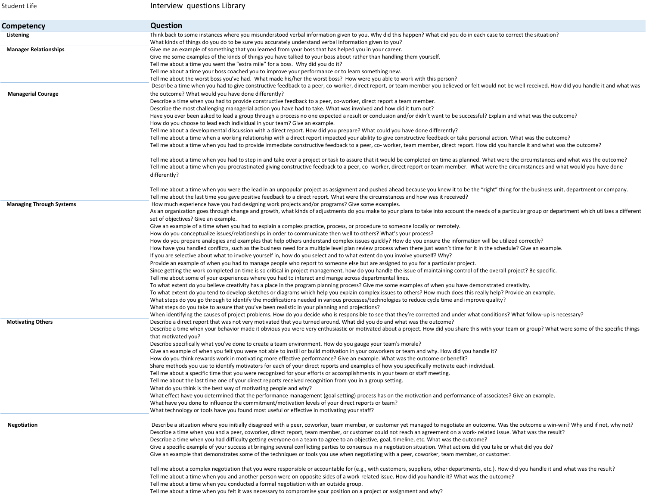| Student Life                    | Interview questions Library                                                                                                                                                                                                                                                                                                                                 |
|---------------------------------|-------------------------------------------------------------------------------------------------------------------------------------------------------------------------------------------------------------------------------------------------------------------------------------------------------------------------------------------------------------|
| Competency                      | <b>Question</b>                                                                                                                                                                                                                                                                                                                                             |
| Listening                       | Think back to some instances where you misunderstood verbal information given to you. Why did this happen? What did you do in each case to correct the situation?                                                                                                                                                                                           |
|                                 | What kinds of things do you do to be sure you accurately understand verbal information given to you?                                                                                                                                                                                                                                                        |
| <b>Manager Relationships</b>    | Give me an example of something that you learned from your boss that has helped you in your career.<br>Give me some examples of the kinds of things you have talked to your boss about rather than handling them yourself.                                                                                                                                  |
|                                 | Tell me about a time you went the "extra mile" for a boss. Why did you do it?                                                                                                                                                                                                                                                                               |
|                                 | Tell me about a time your boss coached you to improve your performance or to learn something new.                                                                                                                                                                                                                                                           |
|                                 | Tell me about the worst boss you've had. What made his/her the worst boss? How were you able to work with this person?                                                                                                                                                                                                                                      |
|                                 | Describe a time when you had to give constructive feedback to a peer, co-worker, direct report, or team member you believed or felt would not be well received. How did you handle it and what was                                                                                                                                                          |
| <b>Managerial Courage</b>       | the outcome? What would you have done differently?                                                                                                                                                                                                                                                                                                          |
|                                 | Describe a time when you had to provide constructive feedback to a peer, co-worker, direct report a team member.                                                                                                                                                                                                                                            |
|                                 | Describe the most challenging managerial action you have had to take. What was involved and how did it turn out?                                                                                                                                                                                                                                            |
|                                 | Have you ever been asked to lead a group through a process no one expected a result or conclusion and/or didn't want to be successful? Explain and what was the outcome?                                                                                                                                                                                    |
|                                 | How do you choose to lead each individual in your team? Give an example.                                                                                                                                                                                                                                                                                    |
|                                 | Tell me about a developmental discussion with a direct report. How did you prepare? What could you have done differently?                                                                                                                                                                                                                                   |
|                                 | Tell me about a time when a working relationship with a direct report impacted your ability to give constructive feedback or take personal action. What was the outcome?<br>Tell me about a time when you had to provide immediate constructive feedback to a peer, co- worker, team member, direct report. How did you handle it and what was the outcome? |
|                                 | Tell me about a time when you had to step in and take over a project or task to assure that it would be completed on time as planned. What were the circumstances and what was the outcome?                                                                                                                                                                 |
|                                 | Tell me about a time when you procrastinated giving constructive feedback to a peer, co- worker, direct report or team member. What were the circumstances and what would you have done<br>differently?                                                                                                                                                     |
|                                 |                                                                                                                                                                                                                                                                                                                                                             |
|                                 | Tell me about a time when you were the lead in an unpopular project as assignment and pushed ahead because you knew it to be the "right" thing for the business unit, department or company.<br>Tell me about the last time you gave positive feedback to a direct report. What were the circumstances and how was it received?                             |
| <b>Managing Through Systems</b> | How much experience have you had designing work projects and/or programs? Give some examples.                                                                                                                                                                                                                                                               |
|                                 | As an organization goes through change and growth, what kinds of adjustments do you make to your plans to take into account the needs of a particular group or department which utilizes a different                                                                                                                                                        |
|                                 | set of objectives? Give an example.                                                                                                                                                                                                                                                                                                                         |
|                                 | Give an example of a time when you had to explain a complex practice, process, or procedure to someone locally or remotely.                                                                                                                                                                                                                                 |
|                                 | How do you conceptualize issues/relationships in order to communicate then well to others? What's your process?                                                                                                                                                                                                                                             |
|                                 | How do you prepare analogies and examples that help others understand complex issues quickly? How do you ensure the information will be utilized correctly?                                                                                                                                                                                                 |
|                                 | How have you handled conflicts, such as the business need for a multiple level plan review process when there just wasn't time for it in the schedule? Give an example.                                                                                                                                                                                     |
|                                 | If you are selective about what to involve yourself in, how do you select and to what extent do you involve yourself? Why?                                                                                                                                                                                                                                  |
|                                 | Provide an example of when you had to manage people who report to someone else but are assigned to you for a particular project.                                                                                                                                                                                                                            |
|                                 | Since getting the work completed on time is so critical in project management, how do you handle the issue of maintaining control of the overall project? Be specific.                                                                                                                                                                                      |
|                                 | Tell me about some of your experiences where you had to interact and mange across departmental lines.                                                                                                                                                                                                                                                       |
|                                 | To what extent do you believe creativity has a place in the program planning process? Give me some examples of when you have demonstrated creativity.<br>To what extent do you tend to develop sketches or diagrams which help you explain complex issues to others? How much does this really help? Provide an example.                                    |
|                                 | What steps do you go through to identify the modifications needed in various processes/technologies to reduce cycle time and improve quality?                                                                                                                                                                                                               |
|                                 | What steps do you take to assure that you've been realistic in your planning and projections?                                                                                                                                                                                                                                                               |
|                                 | When identifying the causes of project problems. How do you decide who is responsible to see that they're corrected and under what conditions? What follow-up is necessary?                                                                                                                                                                                 |
| <b>Motivating Others</b>        | Describe a direct report that was not very motivated that you turned around. What did you do and what was the outcome?                                                                                                                                                                                                                                      |
|                                 | Describe a time when your behavior made it obvious you were very enthusiastic or motivated about a project. How did you share this with your team or group? What were some of the specific things                                                                                                                                                           |
|                                 | that motivated you?                                                                                                                                                                                                                                                                                                                                         |
|                                 | Describe specifically what you've done to create a team environment. How do you gauge your team's morale?                                                                                                                                                                                                                                                   |
|                                 | Give an example of when you felt you were not able to instill or build motivation in your coworkers or team and why. How did you handle it?                                                                                                                                                                                                                 |
|                                 | How do you think rewards work in motivating more effective performance? Give an example. What was the outcome or benefit?                                                                                                                                                                                                                                   |
|                                 | Share methods you use to identify motivators for each of your direct reports and examples of how you specifically motivate each individual.                                                                                                                                                                                                                 |
|                                 | Tell me about a specific time that you were recognized for your efforts or accomplishments in your team or staff meeting.                                                                                                                                                                                                                                   |
|                                 | Tell me about the last time one of your direct reports received recognition from you in a group setting.<br>What do you think is the best way of motivating people and why?                                                                                                                                                                                 |
|                                 | What effect have you determined that the performance management (goal setting) process has on the motivation and performance of associates? Give an example.                                                                                                                                                                                                |
|                                 | What have you done to influence the commitment/motivation levels of your direct reports or team?                                                                                                                                                                                                                                                            |
|                                 | What technology or tools have you found most useful or effective in motivating your staff?                                                                                                                                                                                                                                                                  |
| Negotiation                     | Describe a situation where you initially disagreed with a peer, coworker, team member, or customer yet managed to negotiate an outcome. Was the outcome a win-win? Why and if not, why not?                                                                                                                                                                 |
|                                 | Describe a time when you and a peer, coworker, direct report, team member, or customer could not reach an agreement on a work-related issue. What was the result?                                                                                                                                                                                           |
|                                 | Describe a time when you had difficulty getting everyone on a team to agree to an objective, goal, timeline, etc. What was the outcome?                                                                                                                                                                                                                     |
|                                 | Give a specific example of your success at bringing several conflicting parties to consensus in a negotiation situation. What actions did you take or what did you do?                                                                                                                                                                                      |
|                                 | Give an example that demonstrates some of the techniques or tools you use when negotiating with a peer, coworker, team member, or customer.                                                                                                                                                                                                                 |
|                                 | Tell me about a complex negotiation that you were responsible or accountable for (e.g., with customers, suppliers, other departments, etc.). How did you handle it and what was the result?                                                                                                                                                                 |
|                                 | Tell me about a time when you and another person were on opposite sides of a work-related issue. How did you handle it? What was the outcome?                                                                                                                                                                                                               |
|                                 | Tell me about a time when you conducted a formal negotiation with an outside group.                                                                                                                                                                                                                                                                         |
|                                 | Tell me about a time when you felt it was necessary to compromise your position on a project or assignment and why?                                                                                                                                                                                                                                         |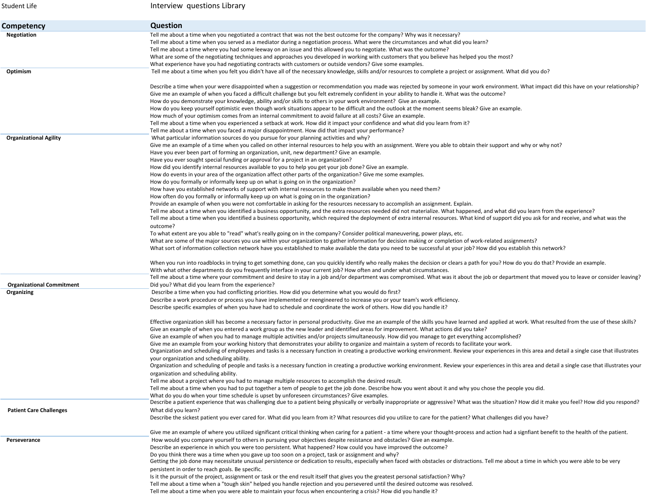| Student Life                                   | Interview questions Library                                                                                                                                                                                                                                                                                                                                                                                                                                                                                                                                                                                                                                                                                                                                                                                                                                                                                                                                                                                                                                                                                                                                                                                                                                                                                                                                                                                                                                                                                                                                                                                                                                                                                                                                                                                                                                                                                                                                                                                                                                                                                                                                                               |
|------------------------------------------------|-------------------------------------------------------------------------------------------------------------------------------------------------------------------------------------------------------------------------------------------------------------------------------------------------------------------------------------------------------------------------------------------------------------------------------------------------------------------------------------------------------------------------------------------------------------------------------------------------------------------------------------------------------------------------------------------------------------------------------------------------------------------------------------------------------------------------------------------------------------------------------------------------------------------------------------------------------------------------------------------------------------------------------------------------------------------------------------------------------------------------------------------------------------------------------------------------------------------------------------------------------------------------------------------------------------------------------------------------------------------------------------------------------------------------------------------------------------------------------------------------------------------------------------------------------------------------------------------------------------------------------------------------------------------------------------------------------------------------------------------------------------------------------------------------------------------------------------------------------------------------------------------------------------------------------------------------------------------------------------------------------------------------------------------------------------------------------------------------------------------------------------------------------------------------------------------|
| Competency                                     | <b>Question</b>                                                                                                                                                                                                                                                                                                                                                                                                                                                                                                                                                                                                                                                                                                                                                                                                                                                                                                                                                                                                                                                                                                                                                                                                                                                                                                                                                                                                                                                                                                                                                                                                                                                                                                                                                                                                                                                                                                                                                                                                                                                                                                                                                                           |
| Negotiation<br>Optimism                        | Tell me about a time when you negotiated a contract that was not the best outcome for the company? Why was it necessary?<br>Tell me about a time when you served as a mediator during a negotiation process. What were the circumstances and what did you learn?<br>Tell me about a time where you had some leeway on an issue and this allowed you to negotiate. What was the outcome?<br>What are some of the negotiating techniques and approaches you developed in working with customers that you believe has helped you the most?<br>What experience have you had negotiating contracts with customers or outside vendors? Give some examples.<br>Tell me about a time when you felt you didn't have all of the necessary knowledge, skills and/or resources to complete a project or assignment. What did you do?                                                                                                                                                                                                                                                                                                                                                                                                                                                                                                                                                                                                                                                                                                                                                                                                                                                                                                                                                                                                                                                                                                                                                                                                                                                                                                                                                                  |
|                                                | Describe a time when your were disappointed when a suggestion or recommendation you made was rejected by someone in your work environment. What impact did this have on your relationship?<br>Give me an example of when you faced a difficult challenge but you felt extremely confident in your ability to handle it. What was the outcome?<br>How do you demonstrate your knowledge, ability and/or skills to others in your work environment? Give an example.<br>How do you keep yourself optimistic even though work situations appear to be difficult and the outlook at the moment seems bleak? Give an example.<br>How much of your optimism comes from an internal commitment to avoid failure at all costs? Give an example.<br>Tell me about a time when you experienced a setback at work. How did it impact your confidence and what did you learn from it?<br>Tell me about a time when you faced a major disappointment. How did that impact your performance?                                                                                                                                                                                                                                                                                                                                                                                                                                                                                                                                                                                                                                                                                                                                                                                                                                                                                                                                                                                                                                                                                                                                                                                                            |
| <b>Organizational Agility</b>                  | What particular information sources do you pursue for your planning activities and why?<br>Give me an example of a time when you called on other internal resources to help you with an assignment. Were you able to obtain their support and why or why not?<br>Have you ever been part of forming an organization, unit, new department? Give an example.<br>Have you ever sought special funding or approval for a project in an organization?<br>How did you identify internal resources available to you to help you get your job done? Give an example.<br>How do events in your area of the organization affect other parts of the organization? Give me some examples.<br>How do you formally or informally keep up on what is going on in the organization?<br>How have you established networks of support with internal resources to make them available when you need them?<br>How often do you formally or informally keep up on what is going on in the organization?<br>Provide an example of when you were not comfortable in asking for the resources necessary to accomplish an assignment. Explain.<br>Tell me about a time when you identified a business opportunity, and the extra resources needed did not materialize. What happened, and what did you learn from the experience?<br>Tell me about a time when you identified a business opportunity, which required the deployment of extra internal resources. What kind of support did you ask for and receive, and what was the<br>outcome?<br>To what extent are you able to "read" what's really going on in the company? Consider political maneuvering, power plays, etc.<br>What are some of the major sources you use within your organization to gather information for decision making or completion of work-related assignments?<br>What sort of information collection network have you established to make available the data you need to be successful at your job? How did you establish this network?<br>When you run into roadblocks in trying to get something done, can you quickly identify who really makes the decision or clears a path for you? How do you do that? Provide an example. |
|                                                | With what other departments do you frequently interface in your current job? How often and under what circumstances.<br>Tell me about a time where your commitment and desire to stay in a job and/or department was compromised. What was it about the job or department that moved you to leave or consider leaving?                                                                                                                                                                                                                                                                                                                                                                                                                                                                                                                                                                                                                                                                                                                                                                                                                                                                                                                                                                                                                                                                                                                                                                                                                                                                                                                                                                                                                                                                                                                                                                                                                                                                                                                                                                                                                                                                    |
| <b>Organizational Commitment</b><br>Organizing | Did you? What did you learn from the experience?<br>Describe a time when you had conflicting priorities. How did you determine what you would do first?<br>Describe a work procedure or process you have implemented or reengineered to increase you or your team's work efficiency.<br>Describe specific examples of when you have had to schedule and coordinate the work of others. How did you handle it?                                                                                                                                                                                                                                                                                                                                                                                                                                                                                                                                                                                                                                                                                                                                                                                                                                                                                                                                                                                                                                                                                                                                                                                                                                                                                                                                                                                                                                                                                                                                                                                                                                                                                                                                                                             |
|                                                | Effective organization skill has become a necessary factor in personal productivity. Give me an example of the skills you have learned and applied at work. What resulted from the use of these skills?<br>Give an example of when you entered a work group as the new leader and identified areas for improvement. What actions did you take?<br>Give an example of when you had to manage multiple activities and/or projects simultaneously. How did you manage to get everything accomplished?<br>Give me an example from your working history that demonstrates your ability to organize and maintain a system of records to facilitate your work.<br>Organization and scheduling of employees and tasks is a necessary function in creating a productive working environment. Review your experiences in this area and detail a single case that illustrates<br>your organization and scheduling ability.<br>Organization and scheduling of people and tasks is a necessary function in creating a productive working environment. Review your experiences in this area and detail a single case that illustrates your<br>organization and scheduling ability.<br>Tell me about a project where you had to manage multiple resources to accomplish the desired result.<br>Tell me about a time when you had to put together a tem of people to get the job done. Describe how you went about it and why you chose the people you did.<br>What do you do when your time schedule is upset by unforeseen circumstances? Give examples.                                                                                                                                                                                                                                                                                                                                                                                                                                                                                                                                                                                                                                                |
| <b>Patient Care Challenges</b>                 | Describe a patient experience that was challenging due to a patient being physically or verbally inappropriate or aggressive? What was the situation? How did it make you feel? How did you respond?<br>What did you learn?<br>Describe the sickest patient you ever cared for. What did you learn from it? What resources did you utilize to care for the patient? What challenges did you have?                                                                                                                                                                                                                                                                                                                                                                                                                                                                                                                                                                                                                                                                                                                                                                                                                                                                                                                                                                                                                                                                                                                                                                                                                                                                                                                                                                                                                                                                                                                                                                                                                                                                                                                                                                                         |
| Perseverance                                   | Give me an example of where you utilized significant critical thinking when caring for a patient - a time where your thought-process and action had a signfiant benefit to the health of the patient.<br>How would you compare yourself to others in pursuing your objectives despite resistance and obstacles? Give an example.<br>Describe an experience in which you were too persistent. What happened? How could you have improved the outcome?<br>Do you think there was a time when you gave up too soon on a project, task or assignment and why?<br>Getting the job done may necessitate unusual persistence or dedication to results, especially when faced with obstacles or distractions. Tell me about a time in which you were able to be very<br>persistent in order to reach goals. Be specific.<br>Is it the pursuit of the project, assignment or task or the end result itself that gives you the greatest personal satisfaction? Why?<br>Tell me about a time when a "tough skin" helped you handle rejection and you persevered until the desired outcome was resolved.<br>Tell me about a time when you were able to maintain your focus when encountering a crisis? How did you handle it?                                                                                                                                                                                                                                                                                                                                                                                                                                                                                                                                                                                                                                                                                                                                                                                                                                                                                                                                                                         |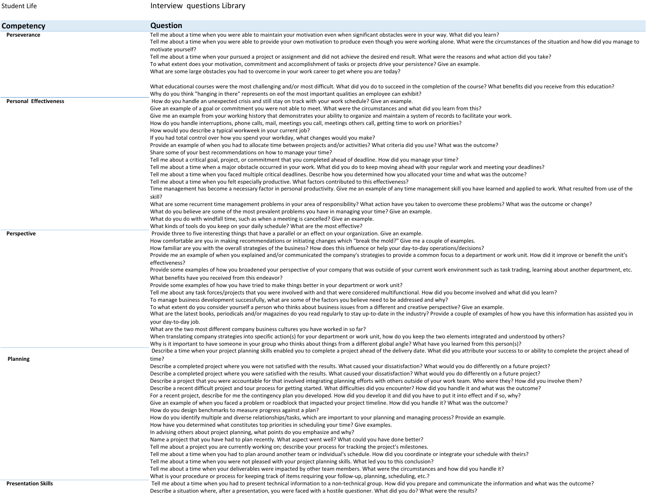| Student Life                  | Interview questions Library                                                                                                                                                                                                                                                                                                               |
|-------------------------------|-------------------------------------------------------------------------------------------------------------------------------------------------------------------------------------------------------------------------------------------------------------------------------------------------------------------------------------------|
| Competency                    | <b>Question</b>                                                                                                                                                                                                                                                                                                                           |
| Perseverance                  | Tell me about a time when you were able to maintain your motivation even when significant obstacles were in your way. What did you learn?<br>Tell me about a time when you were able to provide your own motivation to produce even though you were working alone. What were the circumstances of the situation and how did you manage to |
|                               | motivate yourself?                                                                                                                                                                                                                                                                                                                        |
|                               | Tell me about a time when your pursued a project or assignment and did not achieve the desired end result. What were the reasons and what action did you take?                                                                                                                                                                            |
|                               | To what extent does your motivation, commitment and accomplishment of tasks or projects drive your persistence? Give an example.<br>What are some large obstacles you had to overcome in your work career to get where you are today?                                                                                                     |
|                               | What educational courses were the most challenging and/or most difficult. What did you do to succeed in the completion of the course? What benefits did you receive from this education?                                                                                                                                                  |
|                               | Why do you think "hanging in there" represents on eof the most important qualities an employee can exhibit?                                                                                                                                                                                                                               |
| <b>Personal Effectiveness</b> | How do you handle an unexpected crisis and still stay on track with your work schedule? Give an example.                                                                                                                                                                                                                                  |
|                               | Give an example of a goal or commitment you were not able to meet. What were the circumstances and what did you learn from this?                                                                                                                                                                                                          |
|                               | Give me an example from your working history that demonstrates your ability to organize and maintain a system of records to facilitate your work.                                                                                                                                                                                         |
|                               | How do you handle interruptions, phone calls, mail, meetings you call, meetings others call, getting time to work on priorities?                                                                                                                                                                                                          |
|                               | How would you describe a typical workweek in your current job?                                                                                                                                                                                                                                                                            |
|                               | If you had total control over how you spend your workday, what changes would you make?<br>Provide an example of when you had to allocate time between projects and/or activities? What criteria did you use? What was the outcome?                                                                                                        |
|                               | Share some of your best recommendations on how to manage your time?                                                                                                                                                                                                                                                                       |
|                               | Tell me about a critical goal, project, or commitment that you completed ahead of deadline. How did you manage your time?                                                                                                                                                                                                                 |
|                               | Tell me about a time when a major obstacle occurred in your work. What did you do to keep moving ahead with your regular work and meeting your deadlines?                                                                                                                                                                                 |
|                               | Tell me about a time when you faced multiple critical deadlines. Describe how you determined how you allocated your time and what was the outcome?                                                                                                                                                                                        |
|                               | Tell me about a time when you felt especially productive. What factors contributed to this effectiveness?                                                                                                                                                                                                                                 |
|                               | Time management has become a necessary factor in personal productivity. Give me an example of any time management skill you have learned and applied to work. What resulted from use of the                                                                                                                                               |
|                               | skill?                                                                                                                                                                                                                                                                                                                                    |
|                               | What are some recurrent time management problems in your area of responsibility? What action have you taken to overcome these problems? What was the outcome or change?                                                                                                                                                                   |
|                               | What do you believe are some of the most prevalent problems you have in managing your time? Give an example.                                                                                                                                                                                                                              |
|                               | What do you do with windfall time, such as when a meeting is cancelled? Give an example.                                                                                                                                                                                                                                                  |
|                               | What kinds of tools do you keep on your daily schedule? What are the most effective?                                                                                                                                                                                                                                                      |
| Perspective                   | Provide three to five interesting things that have a parallel or an effect on your organization. Give an example.                                                                                                                                                                                                                         |
|                               | How comfortable are you in making recommendations or initiating changes which "break the mold?" Give me a couple of examples.                                                                                                                                                                                                             |
|                               | How familiar are you with the overall strategies of the business? How does this influence or help your day-to-day operations/decisions?                                                                                                                                                                                                   |
|                               | Provide me an example of when you explained and/or communicated the company's strategies to provide a common focus to a department or work unit. How did it improve or benefit the unit's                                                                                                                                                 |
|                               | effectiveness?                                                                                                                                                                                                                                                                                                                            |
|                               | Provide some examples of how you broadened your perspective of your company that was outside of your current work environment such as task trading, learning about another department, etc.                                                                                                                                               |
|                               | What benefits have you received from this endeavor?                                                                                                                                                                                                                                                                                       |
|                               | Provide some examples of how you have tried to make things better in your department or work unit?                                                                                                                                                                                                                                        |
|                               | Tell me about any task forces/projects that you were involved with and that were considered multifunctional. How did you become involved and what did you learn?<br>To manage business development successfully, what are some of the factors you believe need to be addressed and why?                                                   |
|                               | To what extent do you consider yourself a person who thinks about business issues from a different and creative perspective? Give an example.                                                                                                                                                                                             |
|                               | What are the latest books, periodicals and/or magazines do you read regularly to stay up-to-date in the industry? Provide a couple of examples of how you have this information has assisted you in                                                                                                                                       |
|                               | your day-to-day job.                                                                                                                                                                                                                                                                                                                      |
|                               | What are the two most different company business cultures you have worked in so far?                                                                                                                                                                                                                                                      |
|                               | When translating company strategies into specific action(s) for your department or work unit, how do you keep the two elements integrated and understood by others?                                                                                                                                                                       |
|                               | Why is it important to have someone in your group who thinks about things from a different global angle? What have you learned from this person(s)?                                                                                                                                                                                       |
|                               | Describe a time when your project planning skills enabled you to complete a project ahead of the delivery date. What did you attribute your success to or ability to complete the project ahead of                                                                                                                                        |
| Planning                      | time?                                                                                                                                                                                                                                                                                                                                     |
|                               | Describe a completed project where you were not satisfied with the results. What caused your dissatisfaction? What would you do differently on a future project?                                                                                                                                                                          |
|                               | Describe a completed project where you were satisfied with the results. What caused your dissatisfaction? What would you do differently on a future project?                                                                                                                                                                              |
|                               | Describe a project that you were accountable for that involved integrating planning efforts with others outside of your work team. Who were they? How did you involve them?                                                                                                                                                               |
|                               | Describe a recent difficult project and tour process for getting started. What difficulties did you encounter? How did you handle it and what was the outcome?                                                                                                                                                                            |
|                               | For a recent project, describe for me the contingency plan you developed. How did you develop it and did you have to put it into effect and if so, why?                                                                                                                                                                                   |
|                               | Give an example of when you faced a problem or roadblock that impacted your project timeline. How did you handle it? What was the outcome?                                                                                                                                                                                                |
|                               | How do you design benchmarks to measure progress against a plan?                                                                                                                                                                                                                                                                          |
|                               | How do you identify multiple and diverse relationships/tasks, which are important to your planning and managing process? Provide an example.                                                                                                                                                                                              |
|                               | How have you determined what constitutes top priorities in scheduling your time? Give examples.                                                                                                                                                                                                                                           |
|                               | In advising others about project planning, what points do you emphasize and why?<br>Name a project that you have had to plan recently. What aspect went well? What could you have done better?                                                                                                                                            |
|                               | Tell me about a project you are currently working on; describe your process for tracking the project's milestones.                                                                                                                                                                                                                        |
|                               | Tell me about a time when you had to plan around another team or individual's schedule. How did you coordinate or integrate your schedule with theirs?                                                                                                                                                                                    |
|                               | Tell me about a time when you were not pleased with your project planning skills. What led you to this conclusion?                                                                                                                                                                                                                        |
|                               | Tell me about a time when your deliverables were impacted by other team members. What were the circumstances and how did you handle it?                                                                                                                                                                                                   |
|                               | What is your procedure or process for keeping track of items requiring your follow-up, planning, scheduling, etc.?                                                                                                                                                                                                                        |
| <b>Presentation Skills</b>    | Tell me about a time when you had to present technical information to a non-technical group. How did you prepare and communicate the information and what was the outcome?                                                                                                                                                                |
|                               | Describe a situation where, after a presentation, you were faced with a hostile questioner. What did you do? What were the results?                                                                                                                                                                                                       |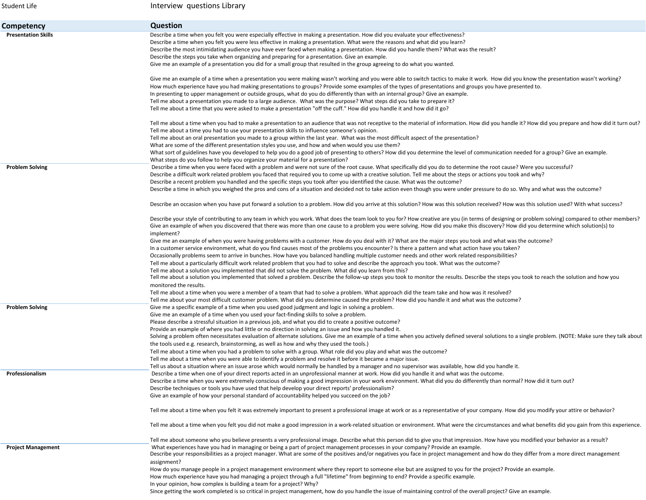| Student Life               | Interview questions Library                                                                                                                                                                                                                                                                                                                                                                                                                                                                                                                                                                                                                                                                                                              |
|----------------------------|------------------------------------------------------------------------------------------------------------------------------------------------------------------------------------------------------------------------------------------------------------------------------------------------------------------------------------------------------------------------------------------------------------------------------------------------------------------------------------------------------------------------------------------------------------------------------------------------------------------------------------------------------------------------------------------------------------------------------------------|
| Competency                 | <b>Question</b>                                                                                                                                                                                                                                                                                                                                                                                                                                                                                                                                                                                                                                                                                                                          |
| <b>Presentation Skills</b> | Describe a time when you felt you were especially effective in making a presentation. How did you evaluate your effectiveness?<br>Describe a time when you felt you were less effective in making a presentation. What were the reasons and what did you learn?<br>Describe the most intimidating audience you have ever faced when making a presentation. How did you handle them? What was the result?<br>Describe the steps you take when organizing and preparing for a presentation. Give an example.<br>Give me an example of a presentation you did for a small group that resulted in the group agreeing to do what you wanted.                                                                                                  |
|                            | Give me an example of a time when a presentation you were making wasn't working and you were able to switch tactics to make it work. How did you know the presentation wasn't working?<br>How much experience have you had making presentations to groups? Provide some examples of the types of presentations and groups you have presented to.<br>In presenting to upper management or outside groups, what do you do differently than with an internal group? Give an example.<br>Tell me about a presentation you made to a large audience. What was the purpose? What steps did you take to prepare it?<br>Tell me about a time that you were asked to make a presentation "off the cuff." How did you handle it and how did it go? |
|                            | Tell me about a time when you had to make a presentation to an audience that was not receptive to the material of information. How did you handle it? How did you prepare and how did it turn out?<br>Tell me about a time you had to use your presentation skills to influence someone's opinion.<br>Tell me about an oral presentation you made to a group within the last year. What was the most difficult aspect of the presentation?<br>What are some of the different presentation styles you use, and how and when would you use them?                                                                                                                                                                                           |
| <b>Problem Solving</b>     | What sort of guidelines have you developed to help you do a good job of presenting to others? How did you determine the level of communication needed for a group? Give an example.<br>What steps do you follow to help you organize your material for a presentation?<br>Describe a time when you were faced with a problem and were not sure of the root cause. What specifically did you do to determine the root cause? Were you successful?                                                                                                                                                                                                                                                                                         |
|                            | Describe a difficult work related problem you faced that required you to come up with a creative solution. Tell me about the steps or actions you took and why?<br>Describe a recent problem you handled and the specific steps you took after you identified the cause. What was the outcome?<br>Describe a time in which you weighed the pros and cons of a situation and decided not to take action even though you were under pressure to do so. Why and what was the outcome?                                                                                                                                                                                                                                                       |
|                            | Describe an occasion when you have put forward a solution to a problem. How did you arrive at this solution? How was this solution received? How was this solution used? With what success?                                                                                                                                                                                                                                                                                                                                                                                                                                                                                                                                              |
|                            | Describe your style of contributing to any team in which you work. What does the team look to you for? How creative are you (in terms of designing or problem solving) compared to other members?<br>Give an example of when you discovered that there was more than one cause to a problem you were solving. How did you make this discovery? How did you determine which solution(s) to<br>implement?                                                                                                                                                                                                                                                                                                                                  |
|                            | Give me an example of when you were having problems with a customer. How do you deal with it? What are the major steps you took and what was the outcome?<br>In a customer service environment, what do you find causes most of the problems you encounter? Is there a pattern and what action have you taken?<br>Occasionally problems seem to arrive in bunches. How have you balanced handling multiple customer needs and other work related responsibilities?                                                                                                                                                                                                                                                                       |
|                            | Tell me about a particularly difficult work related problem that you had to solve and describe the approach you took. What was the outcome?<br>Tell me about a solution you implemented that did not solve the problem. What did you learn from this?<br>Tell me about a solution you implemented that solved a problem. Describe the follow-up steps you took to monitor the results. Describe the steps you took to reach the solution and how you<br>monitored the results.                                                                                                                                                                                                                                                           |
|                            | Tell me about a time when you were a member of a team that had to solve a problem. What approach did the team take and how was it resolved?<br>Tell me about your most difficult customer problem. What did you determine caused the problem? How did you handle it and what was the outcome?                                                                                                                                                                                                                                                                                                                                                                                                                                            |
| <b>Problem Solving</b>     | Give me a specific example of a time when you used good judgment and logic in solving a problem.<br>Give me an example of a time when you used your fact-finding skills to solve a problem.<br>Please describe a stressful situation in a previous job, and what you did to create a positive outcome?<br>Provide an example of where you had little or no direction in solving an issue and how you handled it.                                                                                                                                                                                                                                                                                                                         |
|                            | Solving a problem often necessitates evaluation of alternate solutions. Give me an example of a time when you actively defined several solutions to a single problem. (NOTE: Make sure they talk about<br>the tools used e.g. research, brainstorming, as well as how and why they used the tools.)<br>Tell me about a time when you had a problem to solve with a group. What role did you play and what was the outcome?<br>Tell me about a time when you were able to identify a problem and resolve it before it became a major issue.                                                                                                                                                                                               |
| Professionalism            | Tell us about a situation where an issue arose which would normally be handled by a manager and no supervisor was available, how did you handle it.<br>Describe a time when one of your direct reports acted in an unprofessional manner at work. How did you handle it and what was the outcome.<br>Describe a time when you were extremely conscious of making a good impression in your work environment. What did you do differently than normal? How did it turn out?<br>Describe techniques or tools you have used that help develop your direct reports' professionalism?<br>Give an example of how your personal standard of accountability helped you succeed on the job?                                                       |
|                            | Tell me about a time when you felt it was extremely important to present a professional image at work or as a representative of your company. How did you modify your attire or behavior?                                                                                                                                                                                                                                                                                                                                                                                                                                                                                                                                                |
|                            | Tell me about a time when you felt you did not make a good impression in a work-related situation or environment. What were the circumstances and what benefits did you gain from this experience.                                                                                                                                                                                                                                                                                                                                                                                                                                                                                                                                       |
| <b>Project Management</b>  | Tell me about someone who you believe presents a very professional image. Describe what this person did to give you that impression. How have you modified your behavior as a result?<br>What experiences have you had in managing or being a part of project management processes in your company? Provide an example.<br>Describe your responsibilities as a project manager. What are some of the positives and/or negatives you face in project management and how do they differ from a more direct management<br>assignment?                                                                                                                                                                                                       |
|                            | How do you manage people in a project management environment where they report to someone else but are assigned to you for the project? Provide an example.<br>How much experience have you had managing a project through a full "lifetime" from beginning to end? Provide a specific example.<br>In your opinion, how complex is building a team for a project? Why?                                                                                                                                                                                                                                                                                                                                                                   |
|                            | Since getting the work completed is so critical in project management, how do you handle the issue of maintaining control of the overall project? Give an example.                                                                                                                                                                                                                                                                                                                                                                                                                                                                                                                                                                       |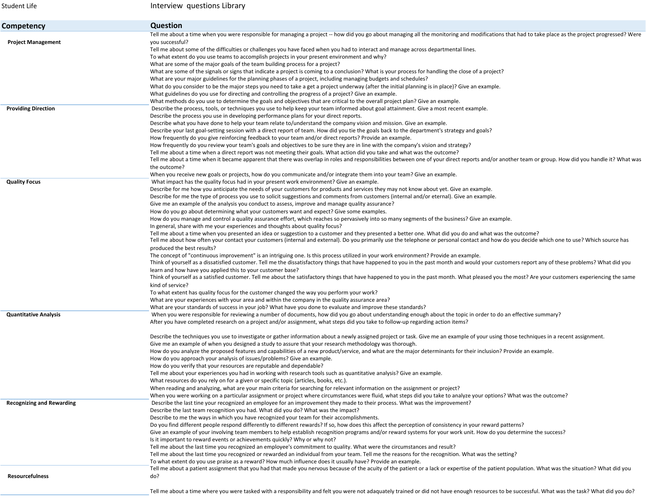| <b>Student Life</b>                                        | Interview questions Library                                                                                                                                                                                                                                                                                                                                                                                                                                                                                                                                                                                                                                                                                                                                                                                                                                                                                                                                                                                                                                                                                                                                                                                                                                                                                                                                                                                                                                                                                                                                                                                                                                                                                                                                                                                                                                                                                                                                                                                                                                                                                                                               |
|------------------------------------------------------------|-----------------------------------------------------------------------------------------------------------------------------------------------------------------------------------------------------------------------------------------------------------------------------------------------------------------------------------------------------------------------------------------------------------------------------------------------------------------------------------------------------------------------------------------------------------------------------------------------------------------------------------------------------------------------------------------------------------------------------------------------------------------------------------------------------------------------------------------------------------------------------------------------------------------------------------------------------------------------------------------------------------------------------------------------------------------------------------------------------------------------------------------------------------------------------------------------------------------------------------------------------------------------------------------------------------------------------------------------------------------------------------------------------------------------------------------------------------------------------------------------------------------------------------------------------------------------------------------------------------------------------------------------------------------------------------------------------------------------------------------------------------------------------------------------------------------------------------------------------------------------------------------------------------------------------------------------------------------------------------------------------------------------------------------------------------------------------------------------------------------------------------------------------------|
| Competency                                                 | <b>Question</b>                                                                                                                                                                                                                                                                                                                                                                                                                                                                                                                                                                                                                                                                                                                                                                                                                                                                                                                                                                                                                                                                                                                                                                                                                                                                                                                                                                                                                                                                                                                                                                                                                                                                                                                                                                                                                                                                                                                                                                                                                                                                                                                                           |
| <b>Project Management</b>                                  | Tell me about a time when you were responsible for managing a project -- how did you go about managing all the monitoring and modifications that had to take place as the project progressed? Were<br>vou successful?<br>Tell me about some of the difficulties or challenges you have faced when you had to interact and manage across departmental lines.<br>To what extent do you use teams to accomplish projects in your present environment and why?<br>What are some of the major goals of the team building process for a project?<br>What are some of the signals or signs that indicate a project is coming to a conclusion? What is your process for handling the close of a project?                                                                                                                                                                                                                                                                                                                                                                                                                                                                                                                                                                                                                                                                                                                                                                                                                                                                                                                                                                                                                                                                                                                                                                                                                                                                                                                                                                                                                                                          |
|                                                            | What are your major guidelines for the planning phases of a project, including managing budgets and schedules?<br>What do you consider to be the major steps you need to take a get a project underway (after the initial planning is in place)? Give an example.<br>What guidelines do you use for directing and controlling the progress of a project? Give an example.<br>What methods do you use to determine the goals and objectives that are critical to the overall project plan? Give an example.                                                                                                                                                                                                                                                                                                                                                                                                                                                                                                                                                                                                                                                                                                                                                                                                                                                                                                                                                                                                                                                                                                                                                                                                                                                                                                                                                                                                                                                                                                                                                                                                                                                |
| <b>Providing Direction</b>                                 | Describe the process, tools, or techniques you use to help keep your team informed about goal attainment. Give a most recent example.<br>Describe the process you use in developing performance plans for your direct reports.<br>Describe what you have done to help your team relate to/understand the company vision and mission. Give an example.<br>Describe your last goal-setting session with a direct report of team. How did you tie the goals back to the department's strategy and goals?<br>How frequently do you give reinforcing feedback to your team and/or direct reports? Provide an example.<br>How frequently do you review your team's goals and objectives to be sure they are in line with the company's vision and strategy?<br>Tell me about a time when a direct report was not meeting their goals. What action did you take and what was the outcome?<br>Tell me about a time when it became apparent that there was overlap in roles and responsibilities between one of your direct reports and/or another team or group. How did you handle it? What was<br>the outcome?<br>When you receive new goals or projects, how do you communicate and/or integrate them into your team? Give an example.                                                                                                                                                                                                                                                                                                                                                                                                                                                                                                                                                                                                                                                                                                                                                                                                                                                                                                                         |
| <b>Quality Focus</b>                                       | What impact has the quality focus had in your present work environment? Give an example.<br>Describe for me how you anticipate the needs of your customers for products and services they may not know about yet. Give an example.<br>Describe for me the type of process you use to solicit suggestions and comments from customers (internal and/or eternal). Give an example.<br>Give me an example of the analysis you conduct to assess, improve and manage quality assurance?<br>How do you go about determining what your customers want and expect? Give some examples.<br>How do you manage and control a quality assurance effort, which reaches so pervasively into so many segments of the business? Give an example.<br>In general, share with me your experiences and thoughts about quality focus?<br>Tell me about a time when you presented an idea or suggestion to a customer and they presented a better one. What did you do and what was the outcome?<br>Tell me about how often your contact your customers (internal and external). Do you primarily use the telephone or personal contact and how do you decide which one to use? Which source has<br>produced the best results?<br>The concept of "continuous improvement" is an intriguing one. Is this process utilized in your work environment? Provide an example.<br>Think of yourself as a dissatisfied customer. Tell me the dissatisfactory things that have happened to you in the past month and would your customers report any of these problems? What did you<br>learn and how have you applied this to your customer base?<br>Think of yourself as a satisfied customer. Tell me about the satisfactory things that have happened to you in the past month. What pleased you the most? Are your customers experiencing the same<br>kind of service?<br>To what extent has quality focus for the customer changed the way you perform your work?<br>What are your experiences with your area and within the company in the quality assurance area?<br>What are your standards of success in your job? What have you done to evaluate and improve these standards? |
| <b>Quantitative Analysis</b>                               | When you were responsible for reviewing a number of documents, how did you go about understanding enough about the topic in order to do an effective summary?<br>After you have completed research on a project and/or assignment, what steps did you take to follow-up regarding action items?<br>Describe the techniques you use to investigate or gather information about a newly assigned project or task. Give me an example of your using those techniques in a recent assignment.<br>Give me an example of when you designed a study to assure that your research methodology was thorough.<br>How do you analyze the proposed features and capabilities of a new product/service, and what are the major determinants for their inclusion? Provide an example.<br>How do you approach your analysis of issues/problems? Give an example.<br>How do you verify that your resources are reputable and dependable?<br>Tell me about your experiences you had in working with research tools such as quantitative analysis? Give an example.<br>What resources do you rely on for a given or specific topic (articles, books, etc.).<br>When reading and analyzing, what are your main criteria for searching for relevant information on the assignment or project?<br>When you were working on a particular assignment or project where circumstances were fluid, what steps did you take to analyze your options? What was the outcome?                                                                                                                                                                                                                                                                                                                                                                                                                                                                                                                                                                                                                                                                                                           |
| <b>Recognizing and Rewarding</b><br><b>Resourcefulness</b> | Describe the last tine your recognized an employee for an improvement they made to their process. What was the improvement?<br>Describe the last team recognition you had. What did you do? What was the impact?<br>Describe to me the ways in which you have recognized your team for their accomplishments.<br>Do you find different people respond differently to different rewards? If so, how does this affect the perception of consistency in your reward patterns?<br>Give an example of your involving team members to help establish recognition programs and/or reward systems for your work unit. How do you determine the success?<br>Is it important to reward events or achievements quickly? Why or why not?<br>Tell me about the last time you recognized an employee's commitment to quality. What were the circumstances and result?<br>Tell me about the last time you recognized or rewarded an individual from your team. Tell me the reasons for the recognition. What was the setting?<br>To what extent do you use praise as a reward? How much influence does it usually have? Provide an example.<br>Tell me about a patient assignment that you had that made you nervous because of the acuity of the patient or a lack or expertise of the patient population. What was the situation? What did you<br>do?                                                                                                                                                                                                                                                                                                                                                                                                                                                                                                                                                                                                                                                                                                                                                                                                                  |
|                                                            |                                                                                                                                                                                                                                                                                                                                                                                                                                                                                                                                                                                                                                                                                                                                                                                                                                                                                                                                                                                                                                                                                                                                                                                                                                                                                                                                                                                                                                                                                                                                                                                                                                                                                                                                                                                                                                                                                                                                                                                                                                                                                                                                                           |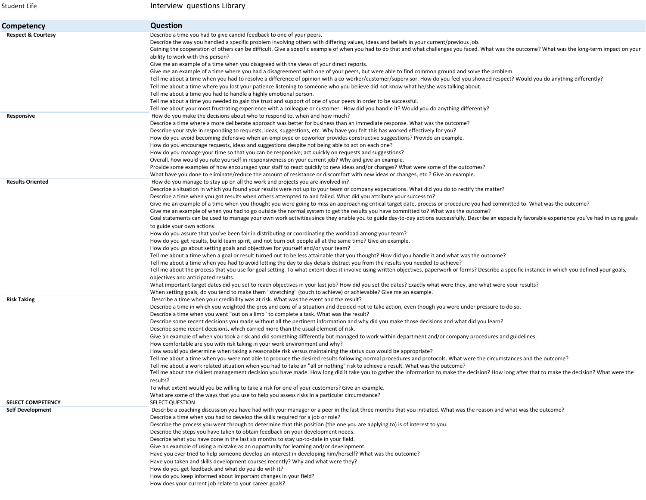| Student Life                                        | Interview questions Library                                                                                                                                                                                                                                                                                                                                                                                                                                                                                                                                                                                                                                                                                                                                                                                                                                                                                                                                                                                                                                                                                                                                                                                                                                                                                                                                                                                                                                                                                                                                                                                                                                                                                                                                                                                                                                                                                                                                                                                                                 |
|-----------------------------------------------------|---------------------------------------------------------------------------------------------------------------------------------------------------------------------------------------------------------------------------------------------------------------------------------------------------------------------------------------------------------------------------------------------------------------------------------------------------------------------------------------------------------------------------------------------------------------------------------------------------------------------------------------------------------------------------------------------------------------------------------------------------------------------------------------------------------------------------------------------------------------------------------------------------------------------------------------------------------------------------------------------------------------------------------------------------------------------------------------------------------------------------------------------------------------------------------------------------------------------------------------------------------------------------------------------------------------------------------------------------------------------------------------------------------------------------------------------------------------------------------------------------------------------------------------------------------------------------------------------------------------------------------------------------------------------------------------------------------------------------------------------------------------------------------------------------------------------------------------------------------------------------------------------------------------------------------------------------------------------------------------------------------------------------------------------|
| Competency                                          | <b>Question</b>                                                                                                                                                                                                                                                                                                                                                                                                                                                                                                                                                                                                                                                                                                                                                                                                                                                                                                                                                                                                                                                                                                                                                                                                                                                                                                                                                                                                                                                                                                                                                                                                                                                                                                                                                                                                                                                                                                                                                                                                                             |
| <b>Respect &amp; Courtesy</b>                       | Describe a time you had to give candid feedback to one of your peers.<br>Describe the way you handled a specific problem involving others with differing values, ideas and beliefs in your current/previous job.<br>Gaining the cooperation of others can be difficult. Give a specific example of when you had to do that and what challenges you faced. What was the outcome? What was the long-term impact on your<br>ability to work with this person?<br>Give me an example of a time when you disagreed with the views of your direct reports.<br>Give me an example of a time where you had a disagreement with one of your peers, but were able to find common ground and solve the problem.<br>Tell me about a time when you had to resolve a difference of opinion with a co-worker/customer/supervisor. How do you feel you showed respect? Would you do anything differently?<br>Tell me about a time where you lost your patience listening to someone who you believe did not know what he/she was talking about.<br>Tell me about a time you had to handle a highly emotional person.<br>Tell me about a time you needed to gain the trust and support of one of your peers in order to be successful.<br>Tell me about your most frustrating experience with a colleague or customer. How did you handle it? Would you do anything differently?                                                                                                                                                                                                                                                                                                                                                                                                                                                                                                                                                                                                                                                                             |
| Responsive                                          | How do you make the decisions about who to respond to, when and how much?<br>Describe a time where a more deliberate approach was better for business than an immediate response. What was the outcome?<br>Describe your style in responding to requests, ideas, suggestions, etc. Why have you felt this has worked effectively for you?<br>How do you avoid becoming defensive when an employee or coworker provides constructive suggestions? Provide an example.<br>How do you encourage requests, ideas and suggestions despite not being able to act on each one?<br>How do you manage your time so that you can be responsive; act quickly on requests and suggestions?<br>Overall, how would you rate yourself in responsiveness on your current job? Why and give an example.<br>Provide some examples of how encouraged your staff to react quickly to new ideas and/or changes? What were some of the outcomes?<br>What have you done to eliminate/reduce the amount of resistance or discomfort with new ideas or changes, etc.? Give an example.                                                                                                                                                                                                                                                                                                                                                                                                                                                                                                                                                                                                                                                                                                                                                                                                                                                                                                                                                                               |
| <b>Results Oriented</b>                             | How do you manage to stay up on all the work and projects you are involved in?<br>Describe a situation in which you found your results were not up to your team or company expectations. What did you do to rectify the matter?<br>Describe a time when you got results when others attempted to and failed. What did you attribute your success to?<br>Give me an example of a time when you thought you were going to miss an approaching critical target date, process or procedure you had committed to. What was the outcome?<br>Give me an example of when you had to go outside the normal system to get the results you have committed to? What was the outcome?<br>Goal statements can be used to manage your own work activities since they enable you to guide day-to-day actions successfully. Describe an especially favorable experience you've had in using goals<br>to guide your own actions.<br>How do you assure that you've been fair in distributing or coordinating the workload among your team?<br>How do you get results, build team spirit, and not burn out people all at the same time? Give an example.<br>How do you go about setting goals and objectives for yourself and/or your team?<br>Tell me about a time when a goal or result turned out to be less attainable that you thought? How did you handle it and what was the outcome?<br>Tell me about a time when you had to avoid letting the day to day details distract you from the results you needed to achieve?<br>Tell me about the process that you use for goal setting. To what extent does it involve using written objectives, paperwork or forms? Describe a specific instance in which you defined your goals,<br>objectives and anticipated results.<br>What important target dates did you set to reach objectives in your last job? How did you set the dates? Exactly what were they, and what were your results?<br>When setting goals, do you tend to make them "stretching" (touch to achieve) or achievable? Give me an example. |
| <b>Risk Taking</b>                                  | Describe a time when your credibility was at risk. What was the event and the result?<br>Describe a time in which you weighted the pros and cons of a situation and decided not to take action, even though you were under pressure to do so.<br>Describe a time when you went "out on a limb" to complete a task. What was the result?<br>Describe some recent decisions you made without all the pertinent information and why did you make those decisions and what did you learn?<br>Describe some recent decisions, which carried more than the usual element of risk.<br>Give an example of when you took a risk and did something differently but managed to work within department and/or company procedures and guidelines.<br>How comfortable are you with risk taking in your work environment and why?<br>How would you determine when taking a reasonable risk versus maintaining the status quo would be appropriate?<br>Tell me about a time when you were not able to produce the desired results following normal procedures and protocols. What were the circumstances and the outcome?<br>Tell me about a work related situation when you had to take an "all or nothing" risk to achieve a result. What was the outcome?<br>Tell me about the riskiest management decision you have made. How long did it take you to gather the information to make the decision? How long after that to make the decision? What were the<br>results?<br>To what extent would you be willing to take a risk for one of your customers? Give an example.<br>What are some of the ways that you use to help you assess risks in a particular circumstance?                                                                                                                                                                                                                                                                                                                                                                               |
| <b>SELECT COMPETENCY</b><br><b>Self Development</b> | SELECT QUESTION<br>Describe a coaching discussion you have had with your manager or a peer in the last three months that you initiated. What was the reason and what was the outcome?<br>Describe a time when you had to develop the skills required for a job or role?<br>Describe the process you went through to determine that this position (the one you are applying to) is of interest to you.<br>Describe the steps you have taken to obtain feedback on your development needs.<br>Describe what you have done in the last six months to stay up-to-date in your field.<br>Give an example of using a mistake as an opportunity for learning and/or development.<br>Have you ever tried to help someone develop an interest in developing him/herself? What was the outcome?<br>Have you taken and skills development courses recently? Why and what were they?<br>How do you get feedback and what do you do with it?<br>How do you keep informed about important changes in your field?<br>How does your current job relate to your career goals?                                                                                                                                                                                                                                                                                                                                                                                                                                                                                                                                                                                                                                                                                                                                                                                                                                                                                                                                                                                |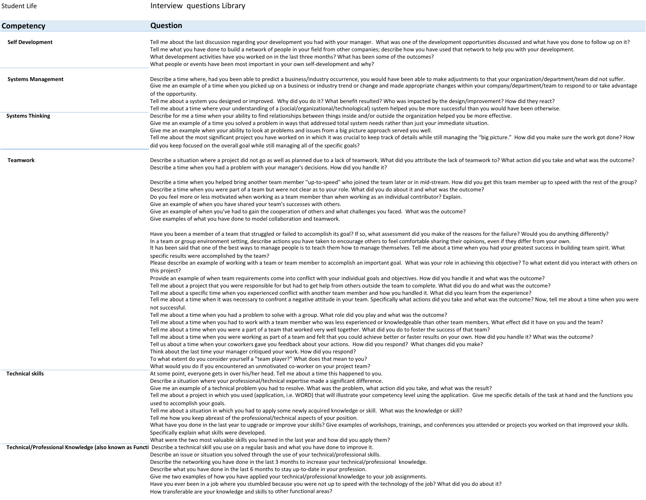| Student Life              | Interview questions Library                                                                                                                                                                                                                                                                                                                                                                                                                                                                                                                                                                                                                                                                                                                                                                                                                                                                                                                                        |
|---------------------------|--------------------------------------------------------------------------------------------------------------------------------------------------------------------------------------------------------------------------------------------------------------------------------------------------------------------------------------------------------------------------------------------------------------------------------------------------------------------------------------------------------------------------------------------------------------------------------------------------------------------------------------------------------------------------------------------------------------------------------------------------------------------------------------------------------------------------------------------------------------------------------------------------------------------------------------------------------------------|
| Competency                | Question                                                                                                                                                                                                                                                                                                                                                                                                                                                                                                                                                                                                                                                                                                                                                                                                                                                                                                                                                           |
| <b>Self Development</b>   | Tell me about the last discussion regarding your development you had with your manager. What was one of the development opportunities discussed and what have you done to follow up on it?<br>Tell me what you have done to build a network of people in your field from other companies; describe how you have used that network to help you with your development.<br>What development activities have you worked on in the last three months? What has been some of the outcomes?<br>What people or events have been most important in your own self-development and why?                                                                                                                                                                                                                                                                                                                                                                                       |
| <b>Systems Management</b> | Describe a time where, had you been able to predict a business/industry occurrence, you would have been able to make adjustments to that your organization/department/team did not suffer.<br>Give me an example of a time when you picked up on a business or industry trend or change and made appropriate changes within your company/department/team to respond to or take advantage<br>of the opportunity.<br>Tell me about a system you designed or improved. Why did you do it? What benefit resulted? Who was impacted by the design/improvement? How did they react?<br>Tell me about a time where your understanding of a (social/organizational/technological) system helped you be more successful than you would have been otherwise.                                                                                                                                                                                                                 |
| <b>Systems Thinking</b>   | Describe for me a time when your ability to find relationships between things inside and/or outside the organization helped you be more effective.<br>Give me an example of a time you solved a problem in ways that addressed total system needs rather than just your immediate situation.<br>Give me an example when your ability to look at problems and issues from a big picture approach served you well.<br>Tell me about the most significant project you have worked on in which it was crucial to keep track of details while still managing the "big picture." How did you make sure the work got done? How<br>did you keep focused on the overall goal while still managing all of the specific goals?                                                                                                                                                                                                                                                |
| Teamwork                  | Describe a situation where a project did not go as well as planned due to a lack of teamwork. What did you attribute the lack of teamwork to? What action did you take and what was the outcome?<br>Describe a time when you had a problem with your manager's decisions. How did you handle it?                                                                                                                                                                                                                                                                                                                                                                                                                                                                                                                                                                                                                                                                   |
|                           | Describe a time when you helped bring another team member "up-to-speed" who joined the team later or in mid-stream. How did you get this team member up to speed with the rest of the group?<br>Describe a time when you were part of a team but were not clear as to your role. What did you do about it and what was the outcome?<br>Do you feel more or less motivated when working as a team member than when working as an individual contributor? Explain.<br>Give an example of when you have shared your team's successes with others.<br>Give an example of when you've had to gain the cooperation of others and what challenges you faced. What was the outcome?<br>Give examples of what you have done to model collaboration and teamwork.                                                                                                                                                                                                            |
|                           | Have you been a member of a team that struggled or failed to accomplish its goal? If so, what assessment did you make of the reasons for the failure? Would you do anything differently?<br>In a team or group environment setting, describe actions you have taken to encourage others to feel comfortable sharing their opinions, even if they differ from your own.<br>It has been said that one of the best ways to manage people is to teach them how to manage themselves. Tell me about a time when you had your greatest success in building team spirit. What<br>specific results were accomplished by the team?                                                                                                                                                                                                                                                                                                                                          |
|                           | Please describe an example of working with a team or team member to accomplish an important goal. What was your role in achieving this objective? To what extent did you interact with others on<br>this project?<br>Provide an example of when team requirements come into conflict with your individual goals and objectives. How did you handle it and what was the outcome?<br>Tell me about a project that you were responsible for but had to get help from others outside the team to complete. What did you do and what was the outcome?<br>Tell me about a specific time when you experienced conflict with another team member and how you handled it. What did you learn from the experience?<br>Tell me about a time when it was necessary to confront a negative attitude in your team. Specifically what actions did you take and what was the outcome? Now, tell me about a time when you were                                                      |
|                           | not successful.<br>Tell me about a time when you had a problem to solve with a group. What role did you play and what was the outcome?<br>Tell me about a time when you had to work with a team member who was less experienced or knowledgeable than other team members. What effect did it have on you and the team?<br>Tell me about a time when you were a part of a team that worked very well together. What did you do to foster the success of that team?<br>Tell me about a time when you were working as part of a team and felt that you could achieve better or faster results on your own. How did you handle it? What was the outcome?<br>Tell us about a time when your coworkers gave you feedback about your actions. How did you respond? What changes did you make?<br>Think about the last time your manager critiqued your work. How did you respond?<br>To what extent do you consider yourself a "team player?" What does that mean to you? |
| <b>Technical skills</b>   | What would you do if you encountered an unmotivated co-worker on your project team?<br>At some point, everyone gets in over his/her head. Tell me about a time this happened to you.<br>Describe a situation where your professional/technical expertise made a significant difference.<br>Give me an example of a technical problem you had to resolve. What was the problem, what action did you take, and what was the result?<br>Tell me about a project in which you used (application, i.e. WORD) that will illustrate your competency level using the application. Give me specific details of the task at hand and the functions you                                                                                                                                                                                                                                                                                                                       |
|                           | used to accomplish your goals.<br>Tell me about a situation in which you had to apply some newly acquired knowledge or skill. What was the knowledge or skill?<br>Tell me how you keep abreast of the professional/technical aspects of your position.<br>What have you done in the last year to upgrade or improve your skills? Give examples of workshops, trainings, and conferences you attended or projects you worked on that improved your skills.<br>Specifically explain what skills were developed.<br>What were the two most valuable skills you learned in the last year and how did you apply them?                                                                                                                                                                                                                                                                                                                                                   |
|                           | Technical/Professional Knowledge (also known as Functi Describe a technical skill you use on a regular basis and what you have done to improve it.<br>Describe an issue or situation you solved through the use of your technical/professional skills.<br>Describe the networking you have done in the last 3 months to increase your technical/professional knowledge.<br>Describe what you have done in the last 6 months to stay up-to-date in your profession.<br>Give me two examples of how you have applied your technical/professional knowledge to your job assignments.<br>Have you ever been in a job where you stumbled because you were not up to speed with the technology of the job? What did you do about it?<br>How transferable are your knowledge and skills to other functional areas?                                                                                                                                                        |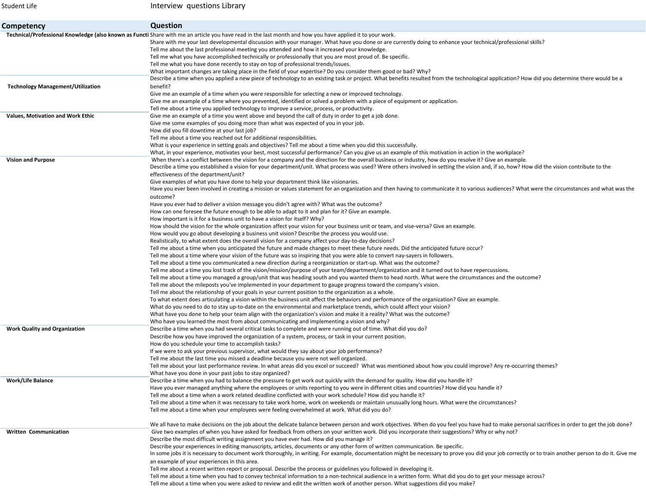Student Life

Interview questions Library

| Competency                               | <b>Question</b>                                                                                                                                                                                                                                                                                                                                        |
|------------------------------------------|--------------------------------------------------------------------------------------------------------------------------------------------------------------------------------------------------------------------------------------------------------------------------------------------------------------------------------------------------------|
|                                          | Technical/Professional Knowledge (also known as Functi Share with me an article you have read in the last month and how you have applied it to your work.                                                                                                                                                                                              |
|                                          | Share with me your last developmental discussion with your manager. What have you done or are currently doing to enhance your technical/professional skills?                                                                                                                                                                                           |
|                                          | Tell me about the last professional meeting you attended and how it increased your knowledge.                                                                                                                                                                                                                                                          |
|                                          | Tell me what you have accomplished technically or professionally that you are most proud of. Be specific.                                                                                                                                                                                                                                              |
|                                          | Tell me what you have done recently to stay on top of professional trends/issues.                                                                                                                                                                                                                                                                      |
|                                          | What important changes are taking place in the field of your expertise? Do you consider them good or bad? Why?                                                                                                                                                                                                                                         |
|                                          | Describe a time when you applied a new piece of technology to an existing task or project. What benefits resulted from the technological application? How did you determine there would be a                                                                                                                                                           |
| <b>Technology Management/Utilization</b> | benefit?                                                                                                                                                                                                                                                                                                                                               |
|                                          | Give me an example of a time when you were responsible for selecting a new or improved technology.                                                                                                                                                                                                                                                     |
|                                          | Give me an example of a time where you prevented, identified or solved a problem with a piece of equipment or application.                                                                                                                                                                                                                             |
|                                          | Tell me about a time you applied technology to improve a service, process, or productivity.                                                                                                                                                                                                                                                            |
| <b>Values, Motivation and Work Ethic</b> | Give me an example of a time you went above and beyond the call of duty in order to get a job done.                                                                                                                                                                                                                                                    |
|                                          | Give me some examples of you doing more than what was expected of you in your job.                                                                                                                                                                                                                                                                     |
|                                          | How did you fill downtime at your last job?                                                                                                                                                                                                                                                                                                            |
|                                          | Tell me about a time you reached out for additional responsibilities.                                                                                                                                                                                                                                                                                  |
|                                          | What is your experience in setting goals and objectives? Tell me about a time when you did this successfully.                                                                                                                                                                                                                                          |
|                                          | What, in your experience, motivates your best, most successful performance? Can you give us an example of this motivation in action in the workplace?                                                                                                                                                                                                  |
| <b>Vision and Purpose</b>                | When there's a conflict between the vision for a company and the direction for the overall business or industry, how do you resolve it? Give an example.<br>Describe a time you established a vision for your department/unit. What process was used? Were others involved in setting the vision and, if so, how? How did the vision contribute to the |
|                                          | effectiveness of the department/unit?                                                                                                                                                                                                                                                                                                                  |
|                                          | Give examples of what you have done to help your department think like visionaries.                                                                                                                                                                                                                                                                    |
|                                          | Have you ever been involved in creating a mission or values statement for an organization and then having to communicate it to various audiences? What were the circumstances and what was the                                                                                                                                                         |
|                                          | outcome?                                                                                                                                                                                                                                                                                                                                               |
|                                          | Have you ever had to deliver a vision message you didn't agree with? What was the outcome?                                                                                                                                                                                                                                                             |
|                                          | How can one foresee the future enough to be able to adapt to it and plan for it? Give an example.                                                                                                                                                                                                                                                      |
|                                          | How important is it for a business unit to have a vision for itself? Why?                                                                                                                                                                                                                                                                              |
|                                          | How should the vision for the whole organization affect your vision for your business unit or team, and vise-versa? Give an example.                                                                                                                                                                                                                   |
|                                          | How would you go about developing a business unit vision? Describe the process you would use.                                                                                                                                                                                                                                                          |
|                                          | Realistically, to what extent does the overall vision for a company affect your day-to-day decisions?                                                                                                                                                                                                                                                  |
|                                          | Tell me about a time when you anticipated the future and made changes to meet these future needs. Did the anticipated future occur?                                                                                                                                                                                                                    |
|                                          | Tell me about a time where your vision of the future was so inspiring that you were able to convert nay-sayers in followers.                                                                                                                                                                                                                           |
|                                          | Tell me about a time you communicated a new direction during a reorganization or start-up. What was the outcome?                                                                                                                                                                                                                                       |
|                                          | Tell me about a time you lost track of the vision/mission/purpose of your team/department/organization and it turned out to have repercussions.                                                                                                                                                                                                        |
|                                          | Tell me about a time you managed a group/unit that was heading south and you wanted them to head north. What were the circumstances and the outcome?                                                                                                                                                                                                   |
|                                          | Tell me about the mileposts you've implemented in your department to gauge progress toward the company's vision.                                                                                                                                                                                                                                       |
|                                          | Tell me about the relationship of your goals in your current position to the organization as a whole.                                                                                                                                                                                                                                                  |
|                                          | To what extent does articulating a vision within the business unit affect the behaviors and performance of the organization? Give an example.                                                                                                                                                                                                          |
|                                          | What do you need to do to stay up-to-date on the environmental and marketplace trends, which could affect your vision?                                                                                                                                                                                                                                 |
|                                          | What have you done to help your team align with the organization's vision and make it a reality? What was the outcome?                                                                                                                                                                                                                                 |
|                                          | Who have you learned the most from about communicating and implementing a vision and why?                                                                                                                                                                                                                                                              |
| <b>Work Quality and Organization</b>     | Describe a time when you had several critical tasks to complete and were running out of time. What did you do?                                                                                                                                                                                                                                         |
|                                          | Describe how you have improved the organization of a system, process, or task in your current position.                                                                                                                                                                                                                                                |
|                                          | How do you schedule your time to accomplish tasks?                                                                                                                                                                                                                                                                                                     |
|                                          | If we were to ask your previous supervisor, what would they say about your job performance?                                                                                                                                                                                                                                                            |
|                                          | Tell me about the last time you missed a deadline because you were not well organized.                                                                                                                                                                                                                                                                 |
|                                          | Tell me about your last performance review. In what areas did you excel or succeed? What was mentioned about how you could improve? Any re-occurring themes?                                                                                                                                                                                           |
|                                          | What have you done in your past jobs to stay organized?                                                                                                                                                                                                                                                                                                |
| Work/Life Balance                        | Describe a time when you had to balance the pressure to get work out quickly with the demand for quality. How did you handle it?                                                                                                                                                                                                                       |
|                                          | Have you ever managed anything where the employees or units reporting to you were in different cities and countries? How did you handle it?<br>Tell me about a time when a work related deadline conflicted with your work schedule? How did you handle it?                                                                                            |
|                                          | Tell me about a time when it was necessary to take work home, work on weekends or maintain unusually long hours. What were the circumstances?                                                                                                                                                                                                          |
|                                          | Tell me about a time when your employees were feeling overwhelmed at work. What did you do?                                                                                                                                                                                                                                                            |
|                                          |                                                                                                                                                                                                                                                                                                                                                        |
|                                          | We all have to make decisions on the job about the delicate balance between person and work objectives. When do you feel you have had to make personal sacrifices in order to get the job done?                                                                                                                                                        |
| <b>Written Communication</b>             | Give two examples of when you have asked for feedback from others on your written work. Did you incorporate their suggestions? Why or why not?                                                                                                                                                                                                         |
|                                          | Describe the most difficult writing assignment you have ever had. How did you manage it?                                                                                                                                                                                                                                                               |
|                                          | Describe your experiences in editing manuscripts, articles, documents or any other form of written communication. Be specific.                                                                                                                                                                                                                         |
|                                          | In some jobs it is necessary to document work thoroughly, in writing. For example, documentation might be necessary to prove you did your job correctly or to train another person to do it. Give me                                                                                                                                                   |
|                                          | an example of your experiences in this area.                                                                                                                                                                                                                                                                                                           |
|                                          | Tell me about a recent written report or proposal. Describe the process or guidelines you followed in developing it.                                                                                                                                                                                                                                   |
|                                          | Tell me about a time when you had to convey technical information to a non-technical audience in a written form. What did you do to get your message across?                                                                                                                                                                                           |
|                                          | Tell me about a time when you were asked to review and edit the written work of another person. What suggestions did you make?                                                                                                                                                                                                                         |
|                                          |                                                                                                                                                                                                                                                                                                                                                        |